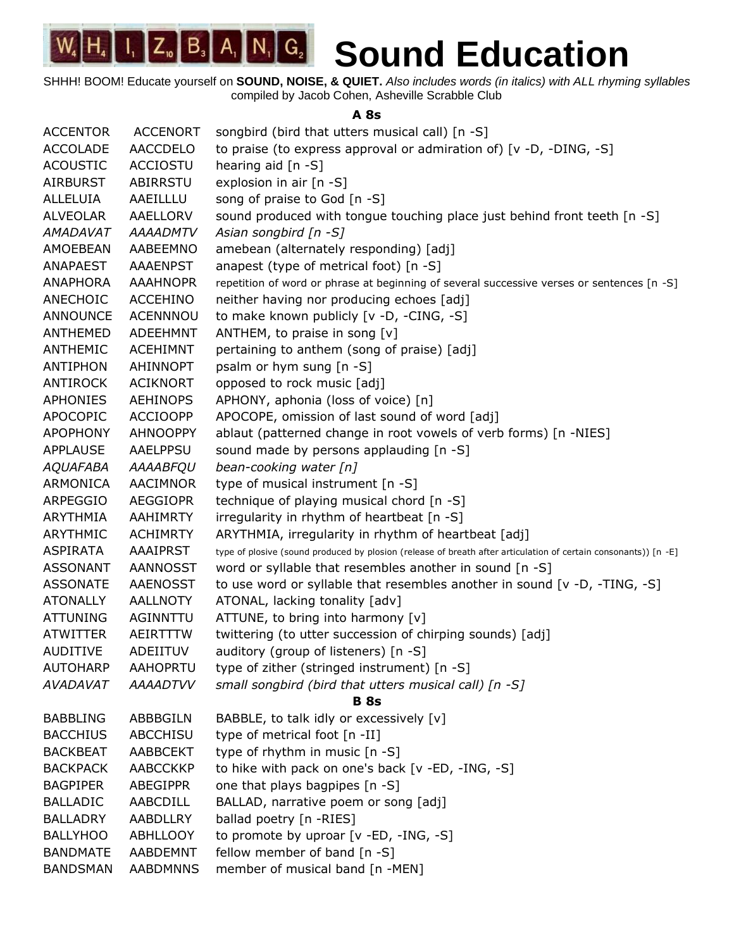SHHH! BOOM! Educate yourself on **SOUND, NOISE, & QUIET.** *Also includes words (in italics) with ALL rhyming syllables* compiled by Jacob Cohen, Asheville Scrabble Club

**A 8s**

| <b>ACCENTOR</b> | <b>ACCENORT</b> | songbird (bird that utters musical call) [n -S]                                                                 |
|-----------------|-----------------|-----------------------------------------------------------------------------------------------------------------|
| <b>ACCOLADE</b> | <b>AACCDELO</b> | to praise (to express approval or admiration of) $[v -D, -DING, -S]$                                            |
| <b>ACOUSTIC</b> | <b>ACCIOSTU</b> | hearing aid $[n - S]$                                                                                           |
| <b>AIRBURST</b> | ABIRRSTU        | explosion in air [n -S]                                                                                         |
| <b>ALLELUIA</b> | AAEILLLU        | song of praise to God [n -S]                                                                                    |
| <b>ALVEOLAR</b> | AAELLORV        | sound produced with tongue touching place just behind front teeth [n -S]                                        |
| AMADAVAT        | <b>AAAADMTV</b> | Asian songbird $[n - S]$                                                                                        |
| AMOEBEAN        | AABEEMNO        | amebean (alternately responding) [adj]                                                                          |
| <b>ANAPAEST</b> | <b>AAAENPST</b> | anapest (type of metrical foot) [n -S]                                                                          |
| <b>ANAPHORA</b> | <b>AAAHNOPR</b> | repetition of word or phrase at beginning of several successive verses or sentences [n -S]                      |
| ANECHOIC        | ACCEHINO        | neither having nor producing echoes [adj]                                                                       |
| <b>ANNOUNCE</b> | <b>ACENNNOU</b> | to make known publicly [v -D, -CING, -S]                                                                        |
| ANTHEMED        | ADEEHMNT        | ANTHEM, to praise in song [v]                                                                                   |
| ANTHEMIC        | <b>ACEHIMNT</b> | pertaining to anthem (song of praise) [adj]                                                                     |
| <b>ANTIPHON</b> | <b>AHINNOPT</b> | psalm or hym sung [n -S]                                                                                        |
| <b>ANTIROCK</b> | <b>ACIKNORT</b> | opposed to rock music [adj]                                                                                     |
| APHONIES        | <b>AEHINOPS</b> | APHONY, aphonia (loss of voice) [n]                                                                             |
| <b>APOCOPIC</b> | <b>ACCIOOPP</b> | APOCOPE, omission of last sound of word [adj]                                                                   |
| <b>APOPHONY</b> | <b>AHNOOPPY</b> | ablaut (patterned change in root vowels of verb forms) [n -NIES]                                                |
| <b>APPLAUSE</b> | <b>AAELPPSU</b> | sound made by persons applauding [n -S]                                                                         |
| <b>AQUAFABA</b> | AAAABFQU        | bean-cooking water [n]                                                                                          |
| ARMONICA        | AACIMNOR        | type of musical instrument [n -S]                                                                               |
| ARPEGGIO        | <b>AEGGIOPR</b> | technique of playing musical chord [n -S]                                                                       |
| ARYTHMIA        | <b>AAHIMRTY</b> | irregularity in rhythm of heartbeat [n -S]                                                                      |
| ARYTHMIC        | <b>ACHIMRTY</b> | ARYTHMIA, irregularity in rhythm of heartbeat [adj]                                                             |
| <b>ASPIRATA</b> | <b>AAAIPRST</b> | type of plosive (sound produced by plosion (release of breath after articulation of certain consonants)) [n -E] |
| <b>ASSONANT</b> | <b>AANNOSST</b> | word or syllable that resembles another in sound [n -S]                                                         |
| <b>ASSONATE</b> | <b>AAENOSST</b> | to use word or syllable that resembles another in sound $[v -D, -TING, -S]$                                     |
| <b>ATONALLY</b> | <b>AALLNOTY</b> | ATONAL, lacking tonality [adv]                                                                                  |
| <b>ATTUNING</b> | AGINNTTU        | ATTUNE, to bring into harmony [v]                                                                               |
| <b>ATWITTER</b> | AEIRTTTW        | twittering (to utter succession of chirping sounds) [adj]                                                       |
| <b>AUDITIVE</b> | ADEIITUV        | auditory (group of listeners) [n -S]                                                                            |
| <b>AUTOHARP</b> | <b>AAHOPRTU</b> | type of zither (stringed instrument) [n -S]                                                                     |
| <b>AVADAVAT</b> | <b>AAAADTVV</b> | small songbird (bird that utters musical call) [n -S]                                                           |
|                 |                 | <b>B</b> 8s                                                                                                     |
| <b>BABBLING</b> | ABBBGILN        | BABBLE, to talk idly or excessively [v]                                                                         |
| <b>BACCHIUS</b> | <b>ABCCHISU</b> | type of metrical foot [n -II]                                                                                   |
| <b>BACKBEAT</b> | <b>AABBCEKT</b> | type of rhythm in music [n -S]                                                                                  |
| <b>BACKPACK</b> | AABCCKKP        | to hike with pack on one's back [v -ED, -ING, -S]                                                               |
| <b>BAGPIPER</b> | ABEGIPPR        | one that plays bagpipes [n -S]                                                                                  |
| <b>BALLADIC</b> | AABCDILL        | BALLAD, narrative poem or song [adj]                                                                            |
| <b>BALLADRY</b> | AABDLLRY        | ballad poetry [n -RIES]                                                                                         |
| <b>BALLYHOO</b> | <b>ABHLLOOY</b> | to promote by uproar [v -ED, -ING, -S]                                                                          |
| <b>BANDMATE</b> | AABDEMNT        | fellow member of band [n -S]                                                                                    |
| <b>BANDSMAN</b> | <b>AABDMNNS</b> | member of musical band [n -MEN]                                                                                 |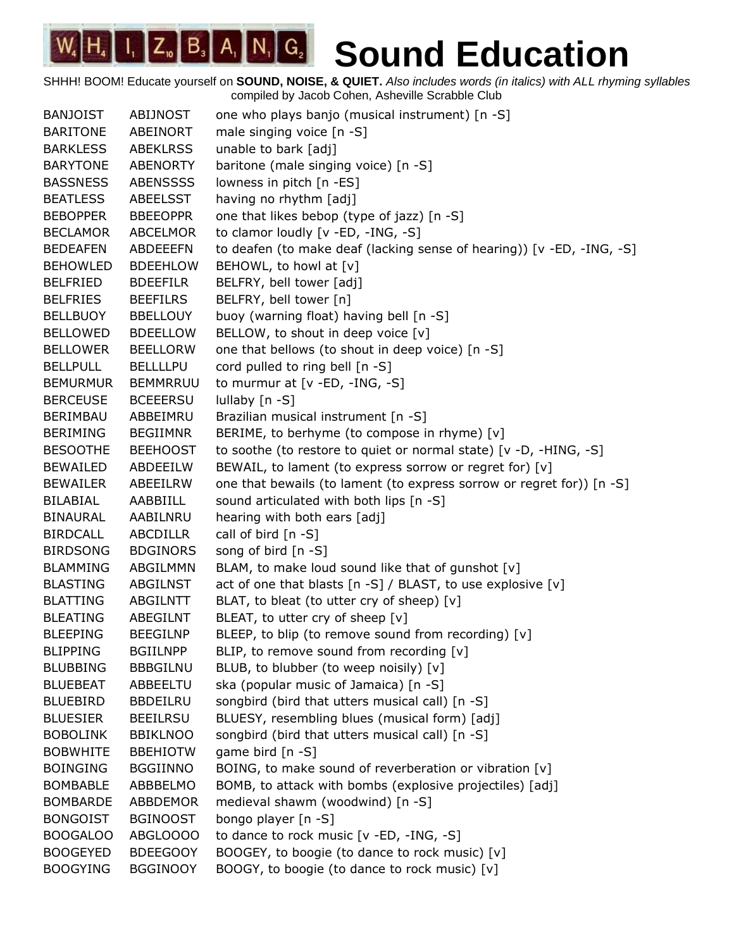| <b>BANJOIST</b> | ABIJNOST        | one who plays banjo (musical instrument) [n -S]                       |
|-----------------|-----------------|-----------------------------------------------------------------------|
| <b>BARITONE</b> | ABEINORT        | male singing voice [n -S]                                             |
| <b>BARKLESS</b> | <b>ABEKLRSS</b> | unable to bark [adj]                                                  |
| <b>BARYTONE</b> | <b>ABENORTY</b> | baritone (male singing voice) [n -S]                                  |
| <b>BASSNESS</b> | <b>ABENSSSS</b> | lowness in pitch [n -ES]                                              |
| <b>BEATLESS</b> | ABEELSST        | having no rhythm [adj]                                                |
| <b>BEBOPPER</b> | <b>BBEEOPPR</b> | one that likes bebop (type of jazz) [n -S]                            |
| <b>BECLAMOR</b> | <b>ABCELMOR</b> | to clamor loudly [v -ED, -ING, -S]                                    |
| <b>BEDEAFEN</b> | ABDEEEFN        | to deafen (to make deaf (lacking sense of hearing)) [v -ED, -ING, -S] |
| <b>BEHOWLED</b> | <b>BDEEHLOW</b> | BEHOWL, to howl at [v]                                                |
| <b>BELFRIED</b> | <b>BDEEFILR</b> | BELFRY, bell tower [adj]                                              |
| <b>BELFRIES</b> | <b>BEEFILRS</b> | BELFRY, bell tower [n]                                                |
| <b>BELLBUOY</b> | <b>BBELLOUY</b> | buoy (warning float) having bell [n -S]                               |
| <b>BELLOWED</b> | <b>BDEELLOW</b> | BELLOW, to shout in deep voice [v]                                    |
| <b>BELLOWER</b> | <b>BEELLORW</b> | one that bellows (to shout in deep voice) [n -S]                      |
| <b>BELLPULL</b> | <b>BELLLLPU</b> | cord pulled to ring bell [n -S]                                       |
| <b>BEMURMUR</b> | <b>BEMMRRUU</b> | to murmur at $[v - ED, -ING, -S]$                                     |
| <b>BERCEUSE</b> | <b>BCEEERSU</b> | lullaby [n -S]                                                        |
| BERIMBAU        | ABBEIMRU        | Brazilian musical instrument [n -S]                                   |
| BERIMING        | <b>BEGIIMNR</b> | BERIME, to berhyme (to compose in rhyme) [v]                          |
| <b>BESOOTHE</b> | <b>BEEHOOST</b> | to soothe (to restore to quiet or normal state) [v -D, -HING, -S]     |
| <b>BEWAILED</b> | ABDEEILW        | BEWAIL, to lament (to express sorrow or regret for) [v]               |
| <b>BEWAILER</b> | ABEEILRW        | one that bewails (to lament (to express sorrow or regret for)) [n -S] |
| BILABIAL        | AABBIILL        | sound articulated with both lips [n -S]                               |
| BINAURAL        | AABILNRU        | hearing with both ears [adj]                                          |
| <b>BIRDCALL</b> | ABCDILLR        | call of bird [n -S]                                                   |
| <b>BIRDSONG</b> | <b>BDGINORS</b> | song of bird $[n - S]$                                                |
| <b>BLAMMING</b> | ABGILMMN        | BLAM, to make loud sound like that of gunshot [v]                     |
| <b>BLASTING</b> | ABGILNST        | act of one that blasts [n -S] / BLAST, to use explosive [v]           |
| <b>BLATTING</b> | ABGILNTT        | BLAT, to bleat (to utter cry of sheep) [v]                            |
| <b>BLEATING</b> | ABEGILNT        | BLEAT, to utter cry of sheep [v]                                      |
| <b>BLEEPING</b> | <b>BEEGILNP</b> | BLEEP, to blip (to remove sound from recording) [v]                   |
| <b>BLIPPING</b> | <b>BGIILNPP</b> | BLIP, to remove sound from recording [v]                              |
| <b>BLUBBING</b> | <b>BBBGILNU</b> | BLUB, to blubber (to weep noisily) [v]                                |
| <b>BLUEBEAT</b> | ABBEELTU        | ska (popular music of Jamaica) [n -S]                                 |
| <b>BLUEBIRD</b> | <b>BBDEILRU</b> | songbird (bird that utters musical call) [n -S]                       |
| <b>BLUESIER</b> | <b>BEEILRSU</b> | BLUESY, resembling blues (musical form) [adj]                         |
| <b>BOBOLINK</b> | <b>BBIKLNOO</b> | songbird (bird that utters musical call) [n -S]                       |
| <b>BOBWHITE</b> | <b>BBEHIOTW</b> | game bird [n -S]                                                      |
| <b>BOINGING</b> | <b>BGGIINNO</b> | BOING, to make sound of reverberation or vibration [v]                |
| <b>BOMBABLE</b> | ABBBELMO        | BOMB, to attack with bombs (explosive projectiles) [adj]              |
| <b>BOMBARDE</b> | ABBDEMOR        | medieval shawm (woodwind) [n -S]                                      |
| <b>BONGOIST</b> | <b>BGINOOST</b> | bongo player [n -S]                                                   |
| <b>BOOGALOO</b> | ABGLOOOO        | to dance to rock music [v -ED, -ING, -S]                              |
| <b>BOOGEYED</b> | <b>BDEEGOOY</b> | BOOGEY, to boogie (to dance to rock music) [v]                        |
| <b>BOOGYING</b> | <b>BGGINOOY</b> | BOOGY, to boogie (to dance to rock music) [v]                         |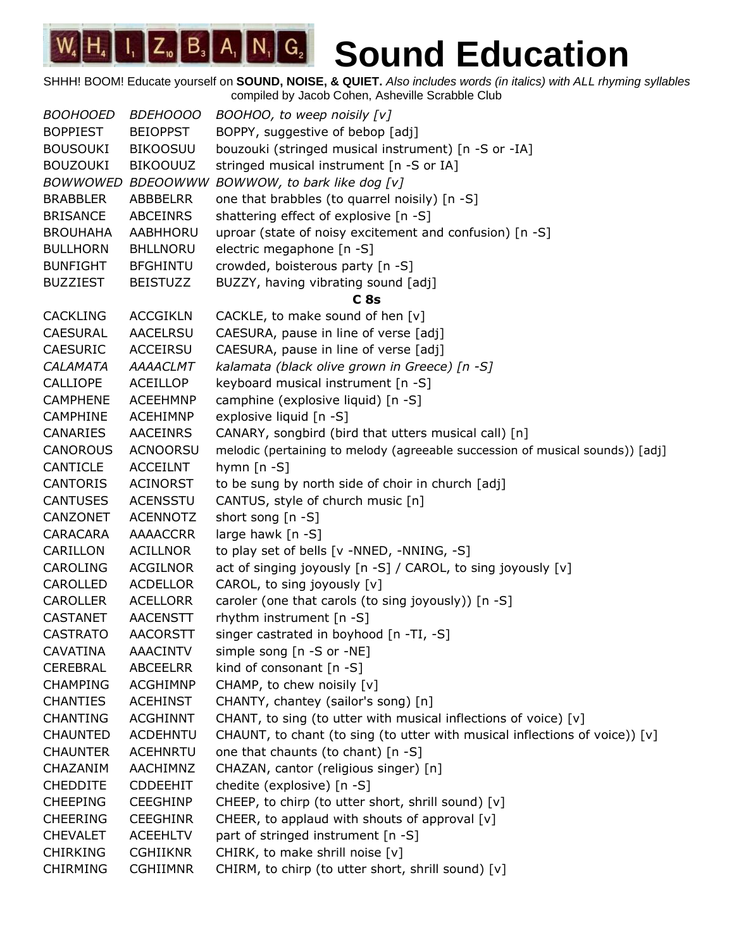| <b>BOOHOOED</b> | <b>BDEHOOOO</b> | BOOHOO, to weep noisily [v]                                                   |
|-----------------|-----------------|-------------------------------------------------------------------------------|
| <b>BOPPIEST</b> | <b>BEIOPPST</b> | BOPPY, suggestive of bebop [adj]                                              |
| <b>BOUSOUKI</b> | <b>BIKOOSUU</b> | bouzouki (stringed musical instrument) [n -S or -IA]                          |
| <b>BOUZOUKI</b> | <b>BIKOOUUZ</b> | stringed musical instrument [n -S or IA]                                      |
| <b>BOWWOWED</b> | <b>BDEOOWWW</b> | BOWWOW, to bark like dog [v]                                                  |
| <b>BRABBLER</b> | ABBBELRR        | one that brabbles (to quarrel noisily) [n -S]                                 |
| <b>BRISANCE</b> | <b>ABCEINRS</b> | shattering effect of explosive [n -S]                                         |
| <b>BROUHAHA</b> | AABHHORU        | uproar (state of noisy excitement and confusion) [n -S]                       |
| <b>BULLHORN</b> | <b>BHLLNORU</b> | electric megaphone [n -S]                                                     |
| <b>BUNFIGHT</b> | <b>BFGHINTU</b> | crowded, boisterous party [n -S]                                              |
| <b>BUZZIEST</b> | <b>BEISTUZZ</b> | BUZZY, having vibrating sound [adj]                                           |
|                 |                 | C <sub>8s</sub>                                                               |
| <b>CACKLING</b> | <b>ACCGIKLN</b> | CACKLE, to make sound of hen [v]                                              |
| <b>CAESURAL</b> | AACELRSU        | CAESURA, pause in line of verse [adj]                                         |
| <b>CAESURIC</b> | ACCEIRSU        | CAESURA, pause in line of verse [adj]                                         |
| CALAMATA        | <b>AAAACLMT</b> | kalamata (black olive grown in Greece) [n -S]                                 |
| <b>CALLIOPE</b> | <b>ACEILLOP</b> | keyboard musical instrument [n -S]                                            |
| <b>CAMPHENE</b> | <b>ACEEHMNP</b> | camphine (explosive liquid) [n -S]                                            |
| <b>CAMPHINE</b> | ACEHIMNP        | explosive liquid [n -S]                                                       |
| <b>CANARIES</b> | <b>AACEINRS</b> | CANARY, songbird (bird that utters musical call) [n]                          |
| <b>CANOROUS</b> | <b>ACNOORSU</b> | melodic (pertaining to melody (agreeable succession of musical sounds)) [adj] |
| CANTICLE        | <b>ACCEILNT</b> | hymn $[n - S]$                                                                |
| <b>CANTORIS</b> | <b>ACINORST</b> | to be sung by north side of choir in church [adj]                             |
| <b>CANTUSES</b> | <b>ACENSSTU</b> | CANTUS, style of church music [n]                                             |
| CANZONET        | <b>ACENNOTZ</b> | short song [n -S]                                                             |
| CARACARA        | AAAACCRR        | large hawk [n -S]                                                             |
| CARILLON        | ACILLNOR        | to play set of bells [v -NNED, -NNING, -S]                                    |
| <b>CAROLING</b> | <b>ACGILNOR</b> | act of singing joyously [n -S] / CAROL, to sing joyously [v]                  |
| CAROLLED        | <b>ACDELLOR</b> | CAROL, to sing joyously [v]                                                   |
| <b>CAROLLER</b> | ACELLORR        | caroler (one that carols (to sing joyously)) [n -S]                           |
| CASTANET        | <b>AACENSTT</b> | rhythm instrument [n -S]                                                      |
| <b>CASTRATO</b> | <b>AACORSTT</b> | singer castrated in boyhood [n -TI, -S]                                       |
| CAVATINA        | <b>AAACINTV</b> | simple song [n -S or -NE]                                                     |
| <b>CEREBRAL</b> | <b>ABCEELRR</b> | kind of consonant $[n - S]$                                                   |
| <b>CHAMPING</b> | <b>ACGHIMNP</b> | CHAMP, to chew noisily [v]                                                    |
| <b>CHANTIES</b> | ACEHINST        | CHANTY, chantey (sailor's song) [n]                                           |
|                 | <b>ACGHINNT</b> |                                                                               |
| <b>CHANTING</b> |                 | CHANT, to sing (to utter with musical inflections of voice) [v]               |
| <b>CHAUNTED</b> | <b>ACDEHNTU</b> | CHAUNT, to chant (to sing (to utter with musical inflections of voice)) [v]   |
| <b>CHAUNTER</b> | <b>ACEHNRTU</b> | one that chaunts (to chant) [n -S]                                            |
| CHAZANIM        | AACHIMNZ        | CHAZAN, cantor (religious singer) [n]                                         |
| <b>CHEDDITE</b> | <b>CDDEEHIT</b> | chedite (explosive) [n -S]                                                    |
| <b>CHEEPING</b> | <b>CEEGHINP</b> | CHEEP, to chirp (to utter short, shrill sound) [v]                            |
| <b>CHEERING</b> | <b>CEEGHINR</b> | CHEER, to applaud with shouts of approval [v]                                 |
| <b>CHEVALET</b> | <b>ACEEHLTV</b> | part of stringed instrument [n -S]                                            |
| <b>CHIRKING</b> | <b>CGHIIKNR</b> | CHIRK, to make shrill noise [v]                                               |
| <b>CHIRMING</b> | <b>CGHIIMNR</b> | CHIRM, to chirp (to utter short, shrill sound) [v]                            |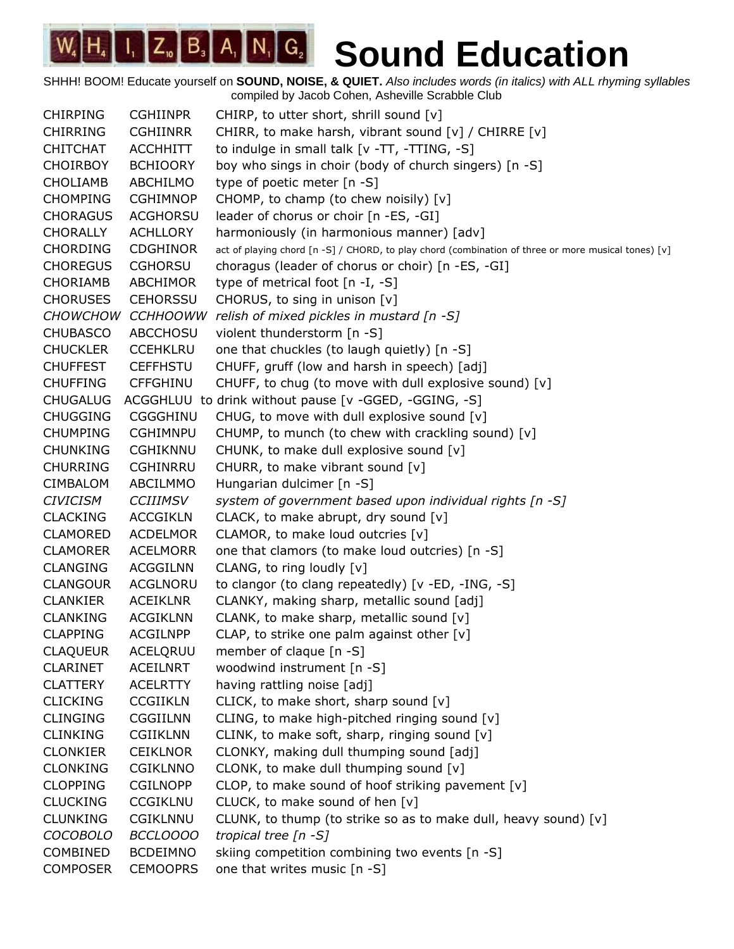SHHH! BOOM! Educate yourself on **SOUND, NOISE, & QUIET.** *Also includes words (in italics) with ALL rhyming syllables* compiled by Jacob Cohen, Asheville Scrabble Club

CHIRPING CGHIINPR CHIRP, to utter short, shrill sound [v] CHIRRING CGHIINRR CHIRR, to make harsh, vibrant sound [v] / CHIRRE [v] CHITCHAT ACCHHITT to indulge in small talk  $[v - TT, -TTING, -S]$ CHOIRBOY BCHIOORY boy who sings in choir (body of church singers) [n -S] CHOLIAMB ABCHILMO type of poetic meter [n -S] CHOMPING CGHIMNOP CHOMP, to champ (to chew noisily) [v] CHORAGUS ACGHORSU leader of chorus or choir [n -ES, -GI] CHORALLY ACHLLORY harmoniously (in harmonious manner) [adv] CHORDING CDGHINOR act of playing chord [n -S] / CHORD, to play chord (combination of three or more musical tones) [v] CHOREGUS CGHORSU choragus (leader of chorus or choir) [n -ES, -GI] CHORIAMB ABCHIMOR type of metrical foot [n -I, -S] CHORUSES CEHORSSU CHORUS, to sing in unison [v] *CHOWCHOW CCHHOOWW relish of mixed pickles in mustard [n -S]* CHUBASCO ABCCHOSU violent thunderstorm [n -S] CHUCKLER CCEHKLRU one that chuckles (to laugh quietly) [n -S] CHUFFEST CEFFHSTU CHUFF, gruff (low and harsh in speech) [adj] CHUFFING CFFGHINU CHUFF, to chug (to move with dull explosive sound)  $[v]$ CHUGALUG ACGGHLUU to drink without pause [v -GGED, -GGING, -S] CHUGGING CGGGHINU CHUG, to move with dull explosive sound [v] CHUMPING CGHIMNPU CHUMP, to munch (to chew with crackling sound) [v] CHUNKING CGHIKNNU CHUNK, to make dull explosive sound [v] CHURRING CGHINRRU CHURR, to make vibrant sound [v] CIMBALOM ABCILMMO Hungarian dulcimer [n -S] *CIVICISM CCIIIMSV system of government based upon individual rights [n -S]* CLACKING ACCGIKLN CLACK, to make abrupt, dry sound [v] CLAMORED ACDELMOR CLAMOR, to make loud outcries [v] CLAMORER ACELMORR one that clamors (to make loud outcries) [n -S] CLANGING ACGGILNN CLANG, to ring loudly [v] CLANGOUR ACGLNORU to clangor (to clang repeatedly) [v -ED, -ING, -S] CLANKIER ACEIKLNR CLANKY, making sharp, metallic sound [adj] CLANKING ACGIKLNN CLANK, to make sharp, metallic sound [v]  $CLAPPING$  ACGILNPP CLAP, to strike one palm against other  $[v]$ CLAQUEUR ACELQRUU member of claque [n -S] CLARINET ACEILNRT woodwind instrument [n -S] CLATTERY ACELRTTY having rattling noise [adj] CLICKING CCGIIKLN CLICK, to make short, sharp sound [v] CLINGING CGGIILNN CLING, to make high-pitched ringing sound  $[v]$ CLINKING CGIIKLNN CLINK, to make soft, sharp, ringing sound [v] CLONKIER CEIKLNOR CLONKY, making dull thumping sound [adj] CLONKING CGIKLNNO CLONK, to make dull thumping sound [v]  $CLOPPING$   $CGI L NOPP$   $CLOP$ , to make sound of hoof striking pavement  $[v]$ CLUCKING CCGIKLNU CLUCK, to make sound of hen [v] CLUNKING CGIKLNNU CLUNK, to thump (to strike so as to make dull, heavy sound) [v] *COCOBOLO BCCLOOOO tropical tree [n -S]* COMBINED BCDEIMNO skiing competition combining two events [n -S] COMPOSER CEMOOPRS one that writes music [n -S]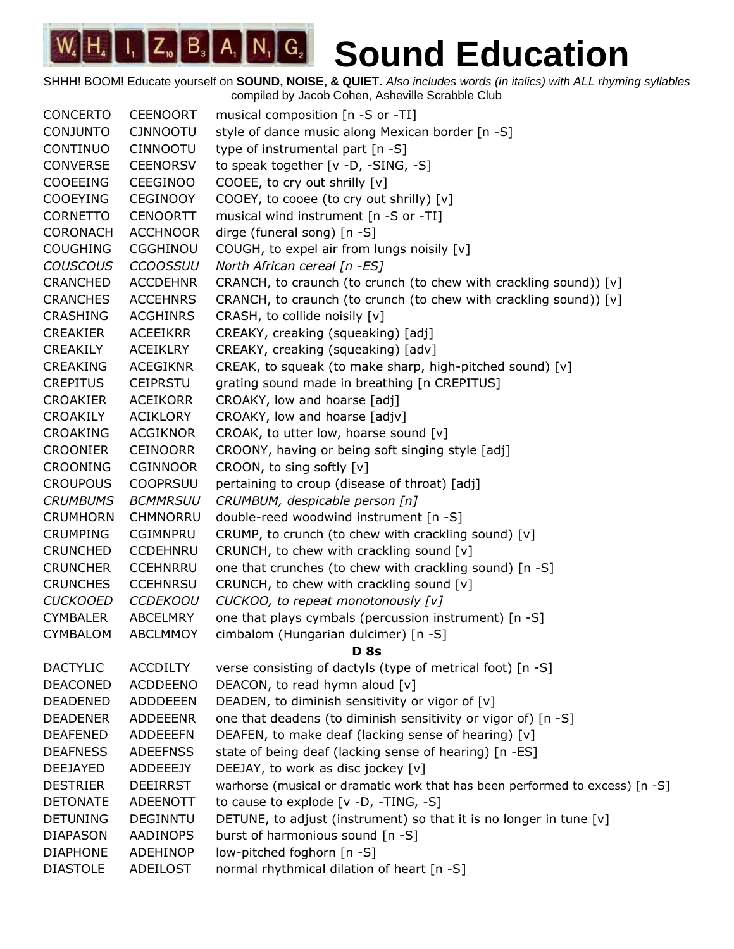| <b>CONCERTO</b> | <b>CEENOORT</b> | musical composition [n -S or -TI]                                            |
|-----------------|-----------------|------------------------------------------------------------------------------|
| <b>CONJUNTO</b> | <b>CJNNOOTU</b> | style of dance music along Mexican border [n -S]                             |
| CONTINUO        | <b>CINNOOTU</b> | type of instrumental part $[n - S]$                                          |
| <b>CONVERSE</b> | <b>CEENORSV</b> | to speak together [v -D, -SING, -S]                                          |
| <b>COOEEING</b> | <b>CEEGINOO</b> | COOEE, to cry out shrilly [v]                                                |
| <b>COOEYING</b> | <b>CEGINOOY</b> | COOEY, to cooee (to cry out shrilly) [v]                                     |
| <b>CORNETTO</b> | <b>CENOORTT</b> | musical wind instrument [n -S or -TI]                                        |
| <b>CORONACH</b> | <b>ACCHNOOR</b> | dirge (funeral song) [n -S]                                                  |
| <b>COUGHING</b> | <b>CGGHINOU</b> | COUGH, to expel air from lungs noisily [v]                                   |
| <b>COUSCOUS</b> | <b>CCOOSSUU</b> | North African cereal [n -ES]                                                 |
| <b>CRANCHED</b> | <b>ACCDEHNR</b> | CRANCH, to craunch (to crunch (to chew with crackling sound)) [v]            |
| <b>CRANCHES</b> | <b>ACCEHNRS</b> | CRANCH, to craunch (to crunch (to chew with crackling sound)) [v]            |
| <b>CRASHING</b> | <b>ACGHINRS</b> | CRASH, to collide noisily [v]                                                |
| <b>CREAKIER</b> | ACEEIKRR        | CREAKY, creaking (squeaking) [adj]                                           |
| CREAKILY        | <b>ACEIKLRY</b> | CREAKY, creaking (squeaking) [adv]                                           |
| <b>CREAKING</b> | <b>ACEGIKNR</b> | CREAK, to squeak (to make sharp, high-pitched sound) [v]                     |
| <b>CREPITUS</b> | <b>CEIPRSTU</b> | grating sound made in breathing [n CREPITUS]                                 |
| <b>CROAKIER</b> | <b>ACEIKORR</b> | CROAKY, low and hoarse [adj]                                                 |
| <b>CROAKILY</b> | ACIKLORY        | CROAKY, low and hoarse [adjv]                                                |
| <b>CROAKING</b> | <b>ACGIKNOR</b> | CROAK, to utter low, hoarse sound [v]                                        |
| <b>CROONIER</b> | <b>CEINOORR</b> | CROONY, having or being soft singing style [adj]                             |
| <b>CROONING</b> | <b>CGINNOOR</b> | CROON, to sing softly [v]                                                    |
| <b>CROUPOUS</b> | <b>COOPRSUU</b> | pertaining to croup (disease of throat) [adj]                                |
| <b>CRUMBUMS</b> | <b>BCMMRSUU</b> | CRUMBUM, despicable person [n]                                               |
| <b>CRUMHORN</b> | <b>CHMNORRU</b> | double-reed woodwind instrument [n -S]                                       |
| <b>CRUMPING</b> | <b>CGIMNPRU</b> | CRUMP, to crunch (to chew with crackling sound) [v]                          |
| <b>CRUNCHED</b> | <b>CCDEHNRU</b> | CRUNCH, to chew with crackling sound [v]                                     |
| <b>CRUNCHER</b> | <b>CCEHNRRU</b> | one that crunches (to chew with crackling sound) [n -S]                      |
| <b>CRUNCHES</b> | <b>CCEHNRSU</b> | CRUNCH, to chew with crackling sound [v]                                     |
| <b>CUCKOOED</b> | <b>CCDEKOOU</b> | CUCKOO, to repeat monotonously [v]                                           |
| <b>CYMBALER</b> | ABCELMRY        | one that plays cymbals (percussion instrument) [n -S]                        |
| <b>CYMBALOM</b> | <b>ABCLMMOY</b> | cimbalom (Hungarian dulcimer) [n -S]                                         |
|                 |                 | <b>D</b> 8s                                                                  |
| <b>DACTYLIC</b> | <b>ACCDILTY</b> | verse consisting of dactyls (type of metrical foot) [n -S]                   |
| <b>DEACONED</b> | <b>ACDDEENO</b> | DEACON, to read hymn aloud [v]                                               |
| <b>DEADENED</b> | <b>ADDDEEEN</b> | DEADEN, to diminish sensitivity or vigor of [v]                              |
| <b>DEADENER</b> | <b>ADDEEENR</b> | one that deadens (to diminish sensitivity or vigor of) [n -S]                |
| <b>DEAFENED</b> | <b>ADDEEEFN</b> | DEAFEN, to make deaf (lacking sense of hearing) [v]                          |
| <b>DEAFNESS</b> | <b>ADEEFNSS</b> | state of being deaf (lacking sense of hearing) [n -ES]                       |
| DEEJAYED        | ADDEEEJY        | DEEJAY, to work as disc jockey [v]                                           |
| <b>DESTRIER</b> | <b>DEEIRRST</b> | warhorse (musical or dramatic work that has been performed to excess) [n -S] |
| <b>DETONATE</b> | ADEENOTT        | to cause to explode [v -D, -TING, -S]                                        |
| <b>DETUNING</b> | <b>DEGINNTU</b> | DETUNE, to adjust (instrument) so that it is no longer in tune [v]           |
| <b>DIAPASON</b> | AADINOPS        | burst of harmonious sound [n -S]                                             |
| <b>DIAPHONE</b> | ADEHINOP        | low-pitched foghorn [n -S]                                                   |
| <b>DIASTOLE</b> | ADEILOST        | normal rhythmical dilation of heart [n -S]                                   |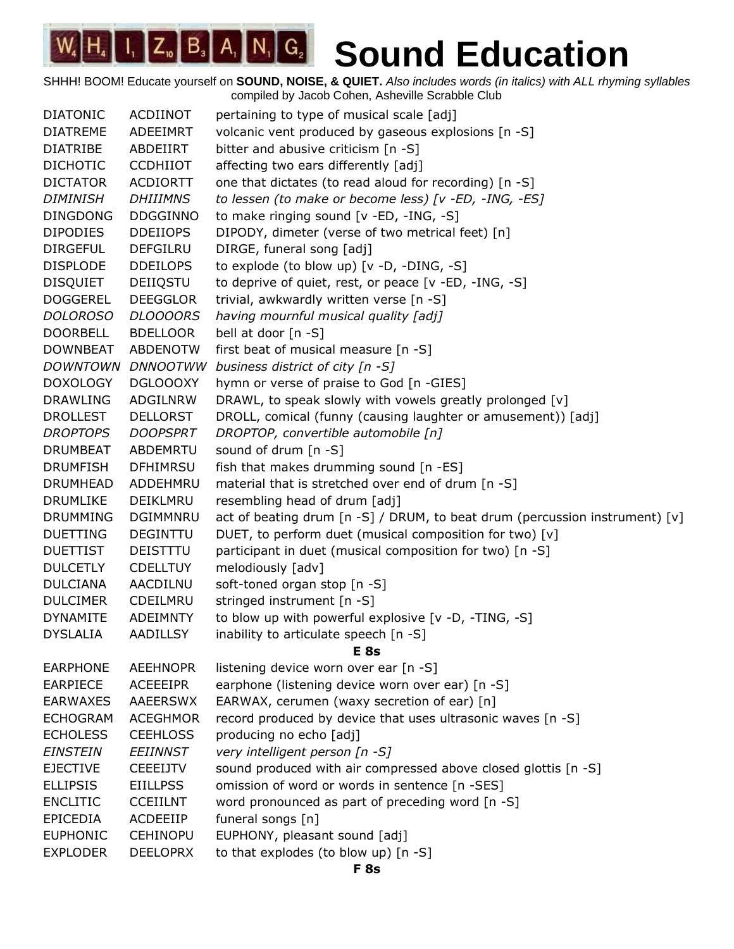| <b>DIATONIC</b> | ACDIINOT        | pertaining to type of musical scale [adj]                                       |
|-----------------|-----------------|---------------------------------------------------------------------------------|
| <b>DIATREME</b> | ADEEIMRT        | volcanic vent produced by gaseous explosions [n -S]                             |
| <b>DIATRIBE</b> | ABDEIIRT        | bitter and abusive criticism $[n -S]$                                           |
| <b>DICHOTIC</b> | <b>CCDHIIOT</b> | affecting two ears differently [adj]                                            |
| <b>DICTATOR</b> | <b>ACDIORTT</b> | one that dictates (to read aloud for recording) [n -S]                          |
| <b>DIMINISH</b> | <b>DHIIIMNS</b> | to lessen (to make or become less) [v -ED, -ING, -ES]                           |
| <b>DINGDONG</b> | <b>DDGGINNO</b> | to make ringing sound [v -ED, -ING, -S]                                         |
| <b>DIPODIES</b> | <b>DDEIIOPS</b> | DIPODY, dimeter (verse of two metrical feet) [n]                                |
| <b>DIRGEFUL</b> | <b>DEFGILRU</b> | DIRGE, funeral song [adj]                                                       |
| <b>DISPLODE</b> | <b>DDEILOPS</b> | to explode (to blow up) [v -D, -DING, -S]                                       |
| <b>DISQUIET</b> | DEIIQSTU        | to deprive of quiet, rest, or peace [v -ED, -ING, -S]                           |
| <b>DOGGEREL</b> | <b>DEEGGLOR</b> | trivial, awkwardly written verse [n -S]                                         |
| <b>DOLOROSO</b> | <b>DLOOOORS</b> | having mournful musical quality [adj]                                           |
| <b>DOORBELL</b> | <b>BDELLOOR</b> | bell at door [n -S]                                                             |
| <b>DOWNBEAT</b> | <b>ABDENOTW</b> | first beat of musical measure [n -S]                                            |
| DOWNTOWN        | <b>DNNOOTWW</b> | business district of city [n -S]                                                |
| <b>DOXOLOGY</b> | DGLOOOXY        | hymn or verse of praise to God [n -GIES]                                        |
| <b>DRAWLING</b> | ADGILNRW        | DRAWL, to speak slowly with vowels greatly prolonged [v]                        |
| <b>DROLLEST</b> | <b>DELLORST</b> | DROLL, comical (funny (causing laughter or amusement)) [adj]                    |
| <b>DROPTOPS</b> | <b>DOOPSPRT</b> | DROPTOP, convertible automobile [n]                                             |
| <b>DRUMBEAT</b> | <b>ABDEMRTU</b> | sound of drum [n -S]                                                            |
| <b>DRUMFISH</b> | <b>DFHIMRSU</b> | fish that makes drumming sound [n -ES]                                          |
| <b>DRUMHEAD</b> | ADDEHMRU        | material that is stretched over end of drum [n -S]                              |
| <b>DRUMLIKE</b> | DEIKLMRU        | resembling head of drum [adj]                                                   |
| <b>DRUMMING</b> | <b>DGIMMNRU</b> | act of beating drum $[n -S]$ / DRUM, to beat drum (percussion instrument) $[v]$ |
| <b>DUETTING</b> | DEGINTTU        | DUET, to perform duet (musical composition for two) [v]                         |
| <b>DUETTIST</b> | DEISTTTU        | participant in duet (musical composition for two) [n -S]                        |
| <b>DULCETLY</b> | <b>CDELLTUY</b> | melodiously [adv]                                                               |
| <b>DULCIANA</b> | AACDILNU        | soft-toned organ stop [n -S]                                                    |
| <b>DULCIMER</b> | CDEILMRU        | stringed instrument [n -S]                                                      |
| <b>DYNAMITE</b> | <b>ADEIMNTY</b> | to blow up with powerful explosive [v -D, -TING, -S]                            |
| <b>DYSLALIA</b> | <b>AADILLSY</b> | inability to articulate speech [n -S]                                           |
|                 |                 | E 8s                                                                            |
| <b>EARPHONE</b> | <b>AEEHNOPR</b> | listening device worn over ear [n -S]                                           |
| <b>EARPIECE</b> | ACEEEIPR        | earphone (listening device worn over ear) [n -S]                                |
| <b>EARWAXES</b> | AAEERSWX        | EARWAX, cerumen (waxy secretion of ear) [n]                                     |
| <b>ECHOGRAM</b> | <b>ACEGHMOR</b> | record produced by device that uses ultrasonic waves [n -S]                     |
| <b>ECHOLESS</b> | <b>CEEHLOSS</b> | producing no echo [adj]                                                         |
| <b>EINSTEIN</b> | <b>EEIINNST</b> | very intelligent person [n -S]                                                  |
| <b>EJECTIVE</b> | <b>CEEEIJTV</b> | sound produced with air compressed above closed glottis [n -S]                  |
| <b>ELLIPSIS</b> | <b>EIILLPSS</b> | omission of word or words in sentence [n -SES]                                  |
| <b>ENCLITIC</b> | <b>CCEIILNT</b> | word pronounced as part of preceding word [n -S]                                |
| <b>EPICEDIA</b> | ACDEEIIP        | funeral songs [n]                                                               |
| <b>EUPHONIC</b> | <b>CEHINOPU</b> | EUPHONY, pleasant sound [adj]                                                   |
| <b>EXPLODER</b> | <b>DEELOPRX</b> | to that explodes (to blow up) [n -S]                                            |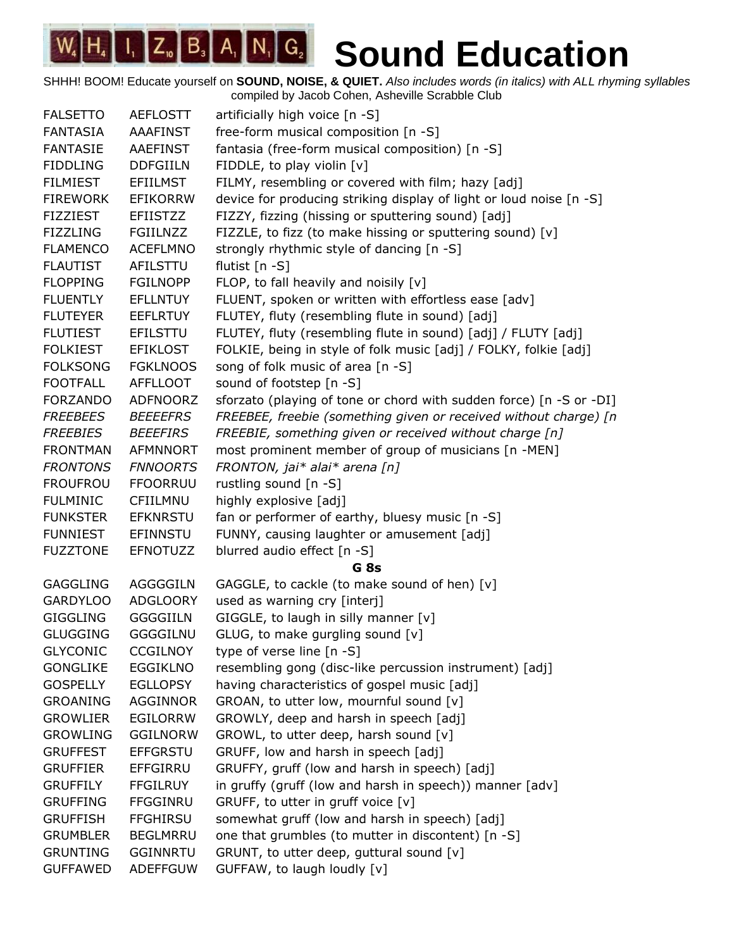| <b>FALSETTO</b> | <b>AEFLOSTT</b> | artificially high voice [n -S]                                      |
|-----------------|-----------------|---------------------------------------------------------------------|
| <b>FANTASIA</b> | AAAFINST        | free-form musical composition [n -S]                                |
| <b>FANTASIE</b> | <b>AAEFINST</b> | fantasia (free-form musical composition) [n -S]                     |
| <b>FIDDLING</b> | <b>DDFGIILN</b> | FIDDLE, to play violin [v]                                          |
| <b>FILMIEST</b> | <b>EFIILMST</b> | FILMY, resembling or covered with film; hazy [adj]                  |
| <b>FIREWORK</b> | <b>EFIKORRW</b> | device for producing striking display of light or loud noise [n -S] |
| <b>FIZZIEST</b> | <b>EFIISTZZ</b> | FIZZY, fizzing (hissing or sputtering sound) [adj]                  |
| <b>FIZZLING</b> | <b>FGIILNZZ</b> | FIZZLE, to fizz (to make hissing or sputtering sound) [v]           |
| <b>FLAMENCO</b> | <b>ACEFLMNO</b> | strongly rhythmic style of dancing [n -S]                           |
| <b>FLAUTIST</b> | AFILSTTU        | flutist $[n - S]$                                                   |
| <b>FLOPPING</b> | <b>FGILNOPP</b> | FLOP, to fall heavily and noisily $[v]$                             |
| <b>FLUENTLY</b> | <b>EFLLNTUY</b> | FLUENT, spoken or written with effortless ease [adv]                |
| <b>FLUTEYER</b> | <b>EEFLRTUY</b> | FLUTEY, fluty (resembling flute in sound) [adj]                     |
| <b>FLUTIEST</b> | <b>EFILSTTU</b> | FLUTEY, fluty (resembling flute in sound) [adj] / FLUTY [adj]       |
| <b>FOLKIEST</b> | <b>EFIKLOST</b> | FOLKIE, being in style of folk music [adj] / FOLKY, folkie [adj]    |
| <b>FOLKSONG</b> | <b>FGKLNOOS</b> | song of folk music of area [n -S]                                   |
| <b>FOOTFALL</b> | <b>AFFLLOOT</b> | sound of footstep [n -S]                                            |
| <b>FORZANDO</b> | <b>ADFNOORZ</b> | sforzato (playing of tone or chord with sudden force) [n -S or -DI] |
| <b>FREEBEES</b> | <b>BEEEEFRS</b> | FREEBEE, freebie (something given or received without charge) [n    |
| <b>FREEBIES</b> | <b>BEEEFIRS</b> | FREEBIE, something given or received without charge [n]             |
| <b>FRONTMAN</b> | AFMNNORT        | most prominent member of group of musicians [n -MEN]                |
| <b>FRONTONS</b> | <b>FNNOORTS</b> | FRONTON, jai* alai* arena [n]                                       |
| <b>FROUFROU</b> | <b>FFOORRUU</b> | rustling sound [n -S]                                               |
| <b>FULMINIC</b> | CFIILMNU        | highly explosive [adj]                                              |
| <b>FUNKSTER</b> | <b>EFKNRSTU</b> | fan or performer of earthy, bluesy music [n -S]                     |
| <b>FUNNIEST</b> | EFINNSTU        | FUNNY, causing laughter or amusement [adj]                          |
| <b>FUZZTONE</b> | <b>EFNOTUZZ</b> | blurred audio effect [n -S]                                         |
|                 |                 | G <sub>8s</sub>                                                     |
| <b>GAGGLING</b> | AGGGGILN        | GAGGLE, to cackle (to make sound of hen) [v]                        |
| <b>GARDYLOO</b> | <b>ADGLOORY</b> | used as warning cry [interj]                                        |
| <b>GIGGLING</b> | <b>GGGGIILN</b> | GIGGLE, to laugh in silly manner [v]                                |
| <b>GLUGGING</b> | GGGGILNU        | GLUG, to make gurgling sound [v]                                    |
| <b>GLYCONIC</b> | <b>CCGILNOY</b> | type of verse line $[n - S]$                                        |
| <b>GONGLIKE</b> | <b>EGGIKLNO</b> | resembling gong (disc-like percussion instrument) [adj]             |
| <b>GOSPELLY</b> | <b>EGLLOPSY</b> | having characteristics of gospel music [adj]                        |
| <b>GROANING</b> | AGGINNOR        | GROAN, to utter low, mournful sound [v]                             |
| <b>GROWLIER</b> | <b>EGILORRW</b> | GROWLY, deep and harsh in speech [adj]                              |
| <b>GROWLING</b> | <b>GGILNORW</b> | GROWL, to utter deep, harsh sound [v]                               |
| <b>GRUFFEST</b> | <b>EFFGRSTU</b> | GRUFF, low and harsh in speech [adj]                                |
| <b>GRUFFIER</b> | EFFGIRRU        | GRUFFY, gruff (low and harsh in speech) [adj]                       |
| <b>GRUFFILY</b> | <b>FFGILRUY</b> | in gruffy (gruff (low and harsh in speech)) manner [adv]            |
| <b>GRUFFING</b> | <b>FFGGINRU</b> | GRUFF, to utter in gruff voice [v]                                  |
| <b>GRUFFISH</b> | <b>FFGHIRSU</b> | somewhat gruff (low and harsh in speech) [adj]                      |
| <b>GRUMBLER</b> | <b>BEGLMRRU</b> | one that grumbles (to mutter in discontent) [n -S]                  |
| <b>GRUNTING</b> | <b>GGINNRTU</b> | GRUNT, to utter deep, guttural sound [v]                            |
| <b>GUFFAWED</b> | <b>ADEFFGUW</b> | GUFFAW, to laugh loudly [v]                                         |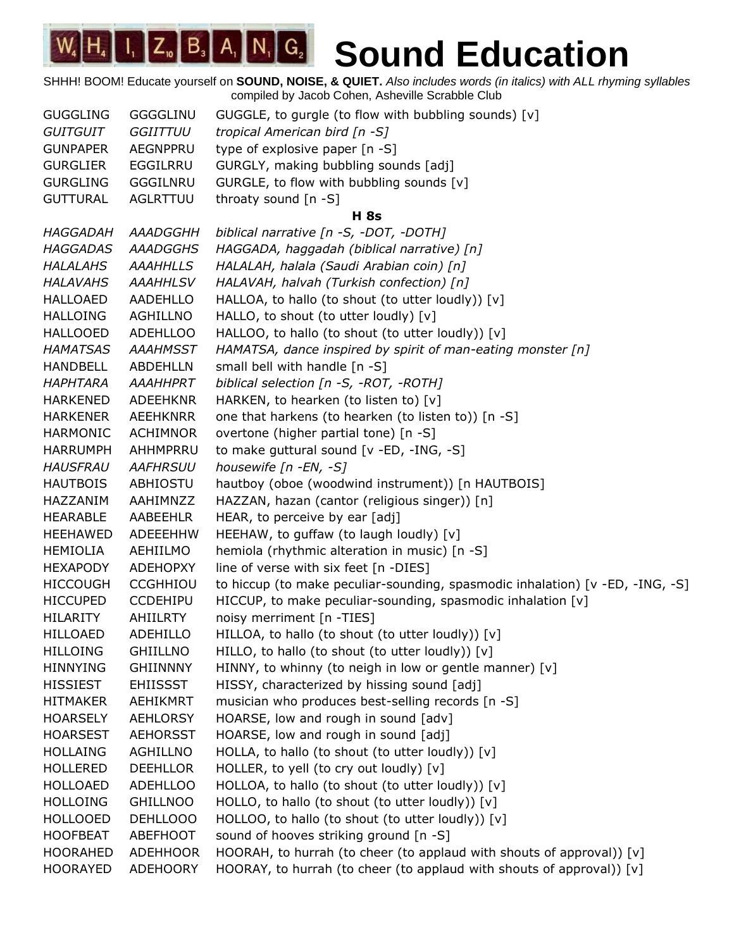| <b>GUGGLING</b> | <b>GGGGLINU</b> | GUGGLE, to gurgle (to flow with bubbling sounds) [v]                          |
|-----------------|-----------------|-------------------------------------------------------------------------------|
| <b>GUITGUIT</b> | GGIITTUU        | tropical American bird [n -S]                                                 |
| <b>GUNPAPER</b> | <b>AEGNPPRU</b> | type of explosive paper [n -S]                                                |
| <b>GURGLIER</b> | EGGILRRU        | GURGLY, making bubbling sounds [adj]                                          |
| <b>GURGLING</b> | GGGILNRU        | GURGLE, to flow with bubbling sounds [v]                                      |
| <b>GUTTURAL</b> | AGLRTTUU        | throaty sound $[n - S]$                                                       |
|                 |                 | <b>H</b> 8s                                                                   |
| <b>HAGGADAH</b> | <b>AAADGGHH</b> | biblical narrative [n -S, -DOT, -DOTH]                                        |
| <b>HAGGADAS</b> | <b>AAADGGHS</b> | HAGGADA, haggadah (biblical narrative) [n]                                    |
| <b>HALALAHS</b> | <b>AAAHHLLS</b> | HALALAH, halala (Saudi Arabian coin) [n]                                      |
| <b>HALAVAHS</b> | <b>AAAHHLSV</b> | HALAVAH, halvah (Turkish confection) [n]                                      |
| <b>HALLOAED</b> | AADEHLLO        | HALLOA, to hallo (to shout (to utter loudly)) [v]                             |
| <b>HALLOING</b> | AGHILLNO        | HALLO, to shout (to utter loudly) [v]                                         |
| <b>HALLOOED</b> | <b>ADEHLLOO</b> | HALLOO, to hallo (to shout (to utter loudly)) [v]                             |
| <b>HAMATSAS</b> | <b>AAAHMSST</b> | HAMATSA, dance inspired by spirit of man-eating monster [n]                   |
| <b>HANDBELL</b> | <b>ABDEHLLN</b> | small bell with handle [n -S]                                                 |
| <b>HAPHTARA</b> | <b>AAAHHPRT</b> | biblical selection [n -S, -ROT, -ROTH]                                        |
| <b>HARKENED</b> | ADEEHKNR        | HARKEN, to hearken (to listen to) [v]                                         |
| <b>HARKENER</b> | AEEHKNRR        | one that harkens (to hearken (to listen to)) [n -S]                           |
| <b>HARMONIC</b> | <b>ACHIMNOR</b> | overtone (higher partial tone) [n -S]                                         |
| <b>HARRUMPH</b> | AHHMPRRU        | to make guttural sound [v -ED, -ING, -S]                                      |
| <b>HAUSFRAU</b> | <b>AAFHRSUU</b> | housewife [n -EN, -S]                                                         |
| <b>HAUTBOIS</b> | ABHIOSTU        | hautboy (oboe (woodwind instrument)) [n HAUTBOIS]                             |
| HAZZANIM        | AAHIMNZZ        | HAZZAN, hazan (cantor (religious singer)) [n]                                 |
| <b>HEARABLE</b> | AABEEHLR        | HEAR, to perceive by ear [adj]                                                |
| <b>HEEHAWED</b> | <b>ADEEEHHW</b> | HEEHAW, to guffaw (to laugh loudly) [v]                                       |
| <b>HEMIOLIA</b> | AEHIILMO        | hemiola (rhythmic alteration in music) [n -S]                                 |
| <b>HEXAPODY</b> | ADEHOPXY        | line of verse with six feet [n -DIES]                                         |
| <b>HICCOUGH</b> | <b>CCGHHIOU</b> | to hiccup (to make peculiar-sounding, spasmodic inhalation) [v -ED, -ING, -S] |
| <b>HICCUPED</b> | <b>CCDEHIPU</b> | HICCUP, to make peculiar-sounding, spasmodic inhalation [v]                   |
| <b>HILARITY</b> | <b>AHIILRTY</b> | noisy merriment [n -TIES]                                                     |
| <b>HILLOAED</b> | <b>ADEHILLO</b> | HILLOA, to hallo (to shout (to utter loudly)) [v]                             |
| <b>HILLOING</b> | <b>GHIILLNO</b> | HILLO, to hallo (to shout (to utter loudly)) [v]                              |
| <b>HINNYING</b> | <b>GHIINNNY</b> | HINNY, to whinny (to neigh in low or gentle manner) [v]                       |
| <b>HISSIEST</b> | <b>EHIISSST</b> | HISSY, characterized by hissing sound [adj]                                   |
| <b>HITMAKER</b> | <b>AEHIKMRT</b> | musician who produces best-selling records [n -S]                             |
| <b>HOARSELY</b> | <b>AEHLORSY</b> | HOARSE, low and rough in sound [adv]                                          |
| <b>HOARSEST</b> | <b>AEHORSST</b> | HOARSE, low and rough in sound [adj]                                          |
| <b>HOLLAING</b> | AGHILLNO        | HOLLA, to hallo (to shout (to utter loudly)) [v]                              |
| <b>HOLLERED</b> | <b>DEEHLLOR</b> | HOLLER, to yell (to cry out loudly) [v]                                       |
| <b>HOLLOAED</b> | <b>ADEHLLOO</b> | HOLLOA, to hallo (to shout (to utter loudly)) [v]                             |
| <b>HOLLOING</b> | <b>GHILLNOO</b> | HOLLO, to hallo (to shout (to utter loudly)) [v]                              |
| <b>HOLLOOED</b> | DEHLLOOO        | HOLLOO, to hallo (to shout (to utter loudly)) [v]                             |
| <b>HOOFBEAT</b> | ABEFHOOT        | sound of hooves striking ground [n -S]                                        |
| <b>HOORAHED</b> | <b>ADEHHOOR</b> | HOORAH, to hurrah (to cheer (to applaud with shouts of approval)) [v]         |
| <b>HOORAYED</b> | <b>ADEHOORY</b> | HOORAY, to hurrah (to cheer (to applaud with shouts of approval)) [v]         |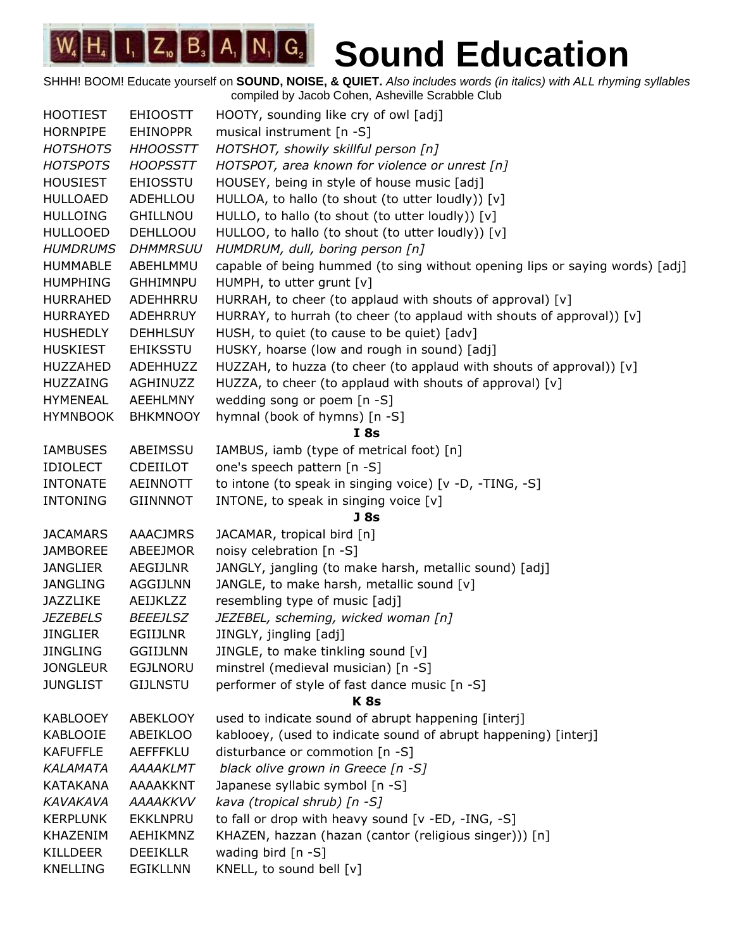| <b>HOOTIEST</b> | <b>EHIOOSTT</b> | HOOTY, sounding like cry of owl [adj]                                        |
|-----------------|-----------------|------------------------------------------------------------------------------|
| <b>HORNPIPE</b> | <b>EHINOPPR</b> | musical instrument [n -S]                                                    |
| <b>HOTSHOTS</b> | <b>HHOOSSTT</b> | HOTSHOT, showily skillful person [n]                                         |
| <b>HOTSPOTS</b> | <b>HOOPSSTT</b> | HOTSPOT, area known for violence or unrest [n]                               |
| <b>HOUSIEST</b> | <b>EHIOSSTU</b> | HOUSEY, being in style of house music [adj]                                  |
| <b>HULLOAED</b> | ADEHLLOU        | HULLOA, to hallo (to shout (to utter loudly)) [v]                            |
| <b>HULLOING</b> | GHILLNOU        | HULLO, to hallo (to shout (to utter loudly)) [v]                             |
| <b>HULLOOED</b> | <b>DEHLLOOU</b> | HULLOO, to hallo (to shout (to utter loudly)) [v]                            |
| <b>HUMDRUMS</b> | <b>DHMMRSUU</b> | HUMDRUM, dull, boring person [n]                                             |
| <b>HUMMABLE</b> | ABEHLMMU        | capable of being hummed (to sing without opening lips or saying words) [adj] |
| <b>HUMPHING</b> | <b>GHHIMNPU</b> | HUMPH, to utter grunt [v]                                                    |
| <b>HURRAHED</b> | ADEHHRRU        | HURRAH, to cheer (to applaud with shouts of approval) [v]                    |
| <b>HURRAYED</b> | ADEHRRUY        | HURRAY, to hurrah (to cheer (to applaud with shouts of approval)) [v]        |
| <b>HUSHEDLY</b> | <b>DEHHLSUY</b> | HUSH, to quiet (to cause to be quiet) [adv]                                  |
| <b>HUSKIEST</b> | <b>EHIKSSTU</b> | HUSKY, hoarse (low and rough in sound) [adj]                                 |
| <b>HUZZAHED</b> | ADEHHUZZ        | HUZZAH, to huzza (to cheer (to applaud with shouts of approval)) [v]         |
| <b>HUZZAING</b> | AGHINUZZ        | HUZZA, to cheer (to applaud with shouts of approval) [v]                     |
| <b>HYMENEAL</b> | AEEHLMNY        | wedding song or poem [n -S]                                                  |
| <b>HYMNBOOK</b> | <b>BHKMNOOY</b> | hymnal (book of hymns) [n -S]                                                |
|                 |                 | I8s                                                                          |
| <b>IAMBUSES</b> | ABEIMSSU        | IAMBUS, iamb (type of metrical foot) [n]                                     |
| <b>IDIOLECT</b> | <b>CDEIILOT</b> | one's speech pattern [n -S]                                                  |
| <b>INTONATE</b> | <b>AEINNOTT</b> | to intone (to speak in singing voice) [v -D, -TING, -S]                      |
| <b>INTONING</b> | <b>GIINNNOT</b> | INTONE, to speak in singing voice [v]                                        |
|                 |                 | <b>J</b> 8s                                                                  |
| <b>JACAMARS</b> | <b>AAACJMRS</b> | JACAMAR, tropical bird [n]                                                   |
| <b>JAMBOREE</b> | ABEEJMOR        | noisy celebration [n -S]                                                     |
| <b>JANGLIER</b> | AEGIJLNR        | JANGLY, jangling (to make harsh, metallic sound) [adj]                       |
| <b>JANGLING</b> | AGGIJLNN        | JANGLE, to make harsh, metallic sound [v]                                    |
| JAZZLIKE        | AEIJKLZZ        | resembling type of music [adj]                                               |
| <i>JEZEBELS</i> | <b>BEEEJLSZ</b> | JEZEBEL, scheming, wicked woman [n]                                          |
| <b>JINGLIER</b> | <b>EGIIJLNR</b> | JINGLY, jingling [adj]                                                       |
| <b>JINGLING</b> | <b>GGIIJLNN</b> | JINGLE, to make tinkling sound $[v]$                                         |
| <b>JONGLEUR</b> | <b>EGJLNORU</b> | minstrel (medieval musician) [n -S]                                          |
| <b>JUNGLIST</b> | <b>GIJLNSTU</b> | performer of style of fast dance music [n -S]                                |
|                 |                 | <b>K8s</b>                                                                   |
| <b>KABLOOEY</b> | <b>ABEKLOOY</b> | used to indicate sound of abrupt happening [interj]                          |
| KABLOOIE        | <b>ABEIKLOO</b> | kablooey, (used to indicate sound of abrupt happening) [interj]              |
| <b>KAFUFFLE</b> | <b>AEFFFKLU</b> | disturbance or commotion [n -S]                                              |
| <b>KALAMATA</b> | <b>AAAAKLMT</b> | black olive grown in Greece [n -S]                                           |
| <b>KATAKANA</b> | AAAAKKNT        | Japanese syllabic symbol [n -S]                                              |
| KAVAKAVA        | <b>AAAAKKVV</b> | kava (tropical shrub) [n -S]                                                 |
| <b>KERPLUNK</b> | <b>EKKLNPRU</b> | to fall or drop with heavy sound [v -ED, -ING, -S]                           |
| KHAZENIM        | AEHIKMNZ        | KHAZEN, hazzan (hazan (cantor (religious singer))) [n]                       |
| <b>KILLDEER</b> | <b>DEEIKLLR</b> | wading bird $[n -S]$                                                         |
| <b>KNELLING</b> | <b>EGIKLLNN</b> | KNELL, to sound bell [v]                                                     |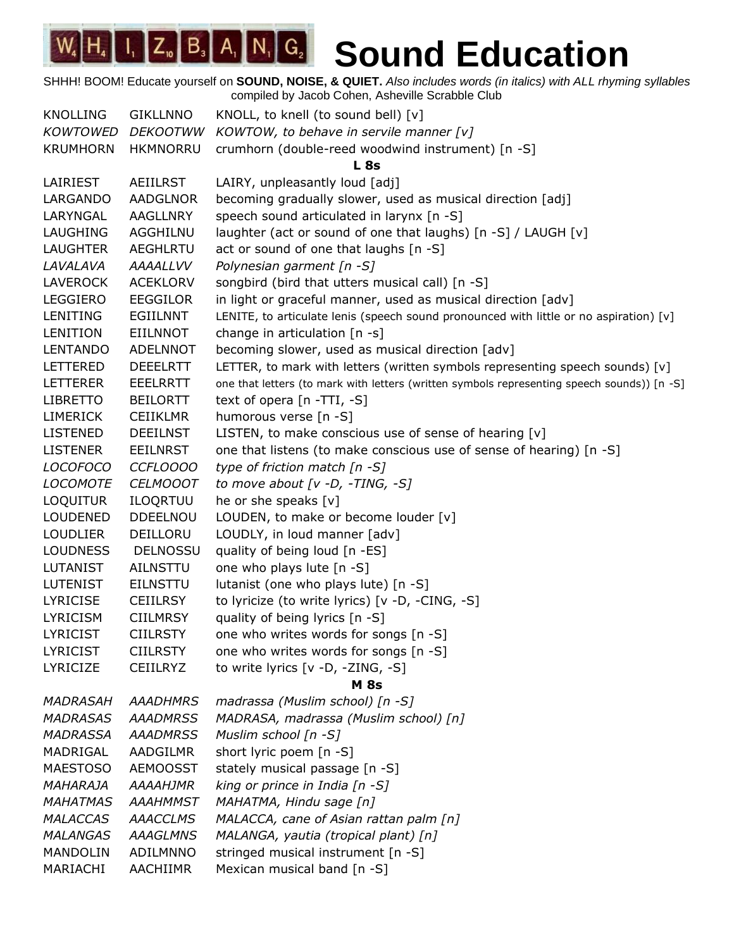SHHH! BOOM! Educate yourself on **SOUND, NOISE, & QUIET.** *Also includes words (in italics) with ALL rhyming syllables* compiled by Jacob Cohen, Asheville Scrabble Club

KNOLLING GIKLLNNO KNOLL, to knell (to sound bell) [v] *KOWTOWED DEKOOTWW KOWTOW, to behave in servile manner [v]* KRUMHORN HKMNORRU crumhorn (double-reed woodwind instrument) [n -S] **L 8s** LAIRIEST AEIILRST LAIRY, unpleasantly loud [adj] LARGANDO AADGLNOR becoming gradually slower, used as musical direction [adj] LARYNGAL AAGLLNRY speech sound articulated in larynx [n -S] LAUGHING AGGHILNU laughter (act or sound of one that laughs) [n -S] / LAUGH [v] LAUGHTER AEGHLRTU act or sound of one that laughs [n -S] *LAVALAVA AAAALLVV Polynesian garment [n -S]* LAVEROCK ACEKLORV songbird (bird that utters musical call) [n -S] LEGGIERO EEGGILOR in light or graceful manner, used as musical direction [adv] LENITING EGIILNNT LENITE, to articulate lenis (speech sound pronounced with little or no aspiration) [v] LENITION EIILNNOT change in articulation  $[n -s]$ LENTANDO ADELNNOT becoming slower, used as musical direction [adv] LETTERED DEEELRTT LETTER, to mark with letters (written symbols representing speech sounds) [v] LETTERER EEELRRTT one that letters (to mark with letters (written symbols representing speech sounds)) [n -S] LIBRETTO BEILORTT text of opera [n -TTI, -S] LIMERICK CEIIKLMR humorous verse [n -S] LISTENED DEEILNST LISTEN, to make conscious use of sense of hearing [v] LISTENER EEILNRST one that listens (to make conscious use of sense of hearing) [n -S] *LOCOFOCO CCFLOOOO type of friction match [n -S] LOCOMOTE CELMOOOT to move about [v -D, -TING, -S]* LOQUITUR ILOQRTUU he or she speaks [v] LOUDENED DDEELNOU LOUDEN, to make or become louder [v] LOUDLIER DEILLORU LOUDLY, in loud manner [adv] LOUDNESS DELNOSSU quality of being loud [n -ES] LUTANIST AILNSTTU one who plays lute [n -S] LUTENIST EILNSTTU lutanist (one who plays lute) [n -S] LYRICISE CEIILRSY to lyricize (to write lyrics) [v -D, -CING, -S] LYRICISM CIILMRSY quality of being lyrics [n -S] LYRICIST CIILRSTY one who writes words for songs [n -S] LYRICIST CIILRSTY one who writes words for songs [n -S] LYRICIZE CEIILRYZ to write lyrics [v -D, -ZING, -S] **M 8s** *MADRASAH AAADHMRS madrassa (Muslim school) [n -S] MADRASAS AAADMRSS MADRASA, madrassa (Muslim school) [n] MADRASSA AAADMRSS Muslim school [n -S]* MADRIGAL AADGILMR short lyric poem [n -S] MAESTOSO AEMOOSST stately musical passage [n -S] *MAHARAJA AAAAHJMR king or prince in India [n -S] MAHATMAS AAAHMMST MAHATMA, Hindu sage [n] MALACCAS AAACCLMS MALACCA, cane of Asian rattan palm [n] MALANGAS AAAGLMNS MALANGA, yautia (tropical plant) [n]* MANDOLIN ADILMNNO stringed musical instrument [n -S] MARIACHI AACHIIMR Mexican musical band [n -S]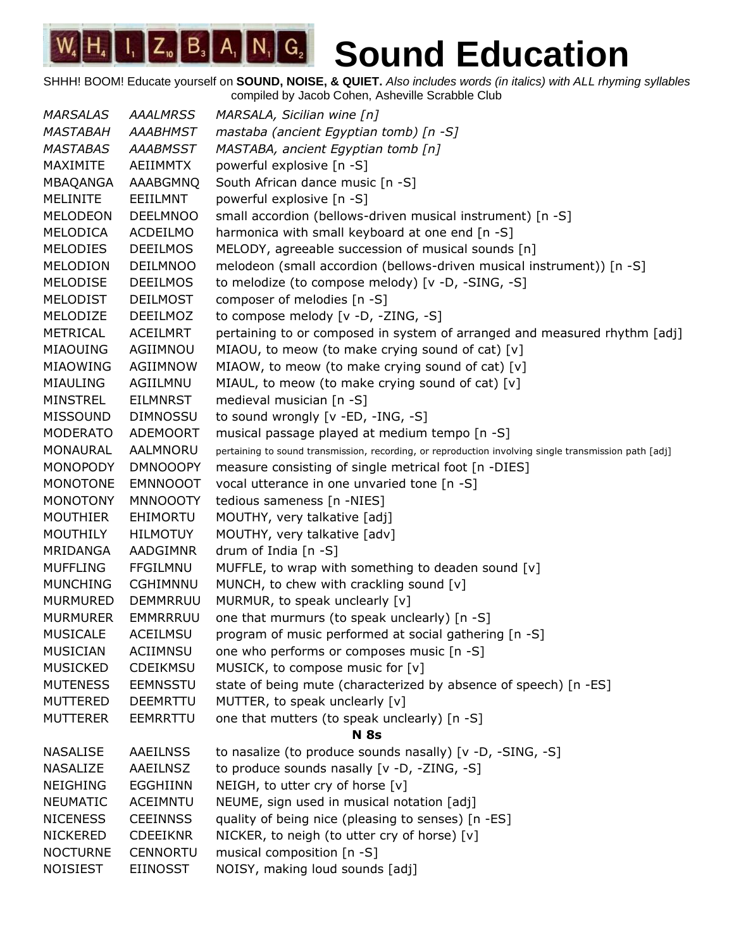| <b>MARSALAS</b> | <b>AAALMRSS</b> | MARSALA, Sicilian wine [n]                                                                            |
|-----------------|-----------------|-------------------------------------------------------------------------------------------------------|
| <i>MASTABAH</i> | <b>AAABHMST</b> | mastaba (ancient Egyptian tomb) [n -S]                                                                |
| <b>MASTABAS</b> | <b>AAABMSST</b> | MASTABA, ancient Egyptian tomb [n]                                                                    |
| MAXIMITE        | AEIIMMTX        | powerful explosive [n -S]                                                                             |
| MBAQANGA        | AAABGMNQ        | South African dance music [n -S]                                                                      |
| <b>MELINITE</b> | EEIILMNT        | powerful explosive [n -S]                                                                             |
| <b>MELODEON</b> | <b>DEELMNOO</b> | small accordion (bellows-driven musical instrument) [n -S]                                            |
| MELODICA        | ACDEILMO        | harmonica with small keyboard at one end [n -S]                                                       |
| <b>MELODIES</b> | <b>DEEILMOS</b> | MELODY, agreeable succession of musical sounds [n]                                                    |
| <b>MELODION</b> | <b>DEILMNOO</b> | melodeon (small accordion (bellows-driven musical instrument)) [n -S]                                 |
| MELODISE        | <b>DEEILMOS</b> | to melodize (to compose melody) [v -D, -SING, -S]                                                     |
| <b>MELODIST</b> | <b>DEILMOST</b> | composer of melodies [n -S]                                                                           |
| MELODIZE        | <b>DEEILMOZ</b> | to compose melody [v -D, -ZING, -S]                                                                   |
| <b>METRICAL</b> | <b>ACEILMRT</b> | pertaining to or composed in system of arranged and measured rhythm [adj]                             |
| MIAOUING        | AGIIMNOU        | MIAOU, to meow (to make crying sound of cat) [v]                                                      |
| MIAOWING        | AGIIMNOW        | MIAOW, to meow (to make crying sound of cat) [v]                                                      |
| <b>MIAULING</b> | AGIILMNU        | MIAUL, to meow (to make crying sound of cat) [v]                                                      |
| <b>MINSTREL</b> | <b>EILMNRST</b> | medieval musician [n -S]                                                                              |
| <b>MISSOUND</b> | <b>DIMNOSSU</b> | to sound wrongly [v -ED, -ING, -S]                                                                    |
| <b>MODERATO</b> | ADEMOORT        | musical passage played at medium tempo [n -S]                                                         |
| MONAURAL        | AALMNORU        | pertaining to sound transmission, recording, or reproduction involving single transmission path [adj] |
| <b>MONOPODY</b> | <b>DMNOOOPY</b> | measure consisting of single metrical foot [n -DIES]                                                  |
| <b>MONOTONE</b> | <b>EMNNOOOT</b> | vocal utterance in one unvaried tone [n -S]                                                           |
| <b>MONOTONY</b> | <b>MNNOOOTY</b> | tedious sameness [n -NIES]                                                                            |
| <b>MOUTHIER</b> | <b>EHIMORTU</b> | MOUTHY, very talkative [adj]                                                                          |
| <b>MOUTHILY</b> | <b>HILMOTUY</b> | MOUTHY, very talkative [adv]                                                                          |
| MRIDANGA        | AADGIMNR        | drum of India $[n -S]$                                                                                |
| <b>MUFFLING</b> | <b>FFGILMNU</b> | MUFFLE, to wrap with something to deaden sound $[v]$                                                  |
| <b>MUNCHING</b> | <b>CGHIMNNU</b> | MUNCH, to chew with crackling sound [v]                                                               |
| <b>MURMURED</b> | <b>DEMMRRUU</b> | MURMUR, to speak unclearly [v]                                                                        |
| <b>MURMURER</b> | EMMRRRUU        | one that murmurs (to speak unclearly) [n -S]                                                          |
| <b>MUSICALE</b> | ACEILMSU        | program of music performed at social gathering [n -S]                                                 |
| <b>MUSICIAN</b> | ACIIMNSU        | one who performs or composes music [n -S]                                                             |
| <b>MUSICKED</b> | CDEIKMSU        | MUSICK, to compose music for [v]                                                                      |
| <b>MUTENESS</b> | <b>EEMNSSTU</b> | state of being mute (characterized by absence of speech) [n -ES]                                      |
| MUTTERED        | <b>DEEMRTTU</b> | MUTTER, to speak unclearly [v]                                                                        |
| <b>MUTTERER</b> | EEMRRTTU        | one that mutters (to speak unclearly) [n -S]                                                          |
|                 |                 | <b>N</b> 8s                                                                                           |
| <b>NASALISE</b> | <b>AAEILNSS</b> | to nasalize (to produce sounds nasally) [v -D, -SING, -S]                                             |
| <b>NASALIZE</b> | AAEILNSZ        | to produce sounds nasally [v -D, -ZING, -S]                                                           |
| <b>NEIGHING</b> | <b>EGGHIINN</b> | NEIGH, to utter cry of horse [v]                                                                      |
| <b>NEUMATIC</b> | <b>ACEIMNTU</b> | NEUME, sign used in musical notation [adj]                                                            |
| <b>NICENESS</b> | <b>CEEINNSS</b> | quality of being nice (pleasing to senses) [n -ES]                                                    |
| <b>NICKERED</b> | <b>CDEEIKNR</b> | NICKER, to neigh (to utter cry of horse) [v]                                                          |
| <b>NOCTURNE</b> | <b>CENNORTU</b> | musical composition [n -S]                                                                            |
| <b>NOISIEST</b> | EIINOSST        | NOISY, making loud sounds [adj]                                                                       |
|                 |                 |                                                                                                       |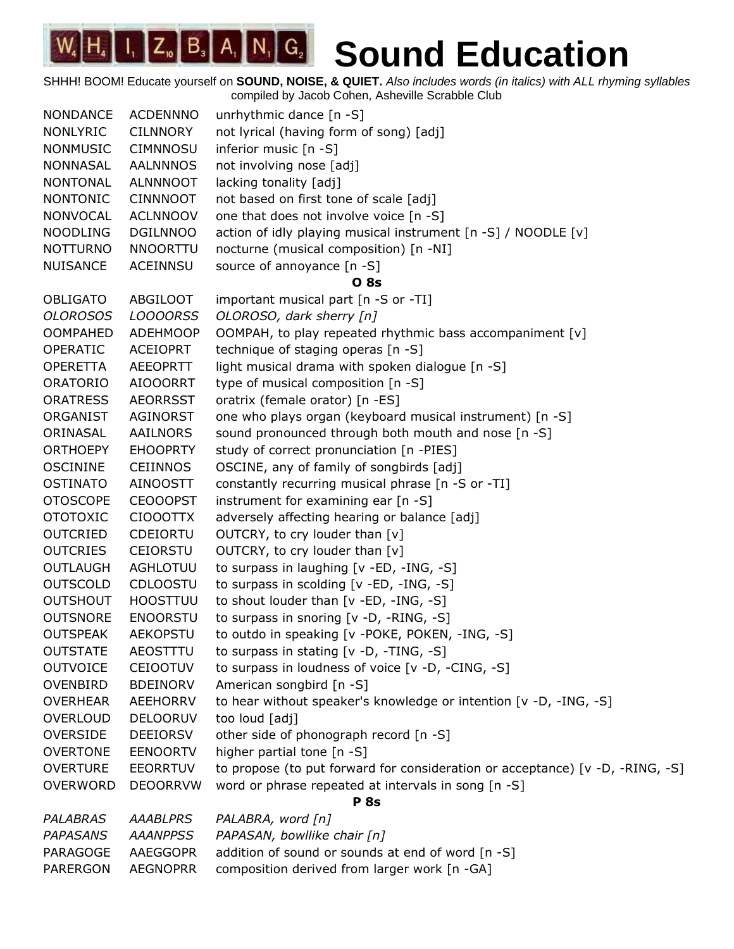| <b>NONDANCE</b> | <b>ACDENNNO</b> | unrhythmic dance [n -S]                                                       |
|-----------------|-----------------|-------------------------------------------------------------------------------|
| <b>NONLYRIC</b> | <b>CILNNORY</b> | not lyrical (having form of song) [adj]                                       |
| <b>NONMUSIC</b> | <b>CIMNNOSU</b> | inferior music [n -S]                                                         |
| <b>NONNASAL</b> | <b>AALNNNOS</b> | not involving nose [adj]                                                      |
| <b>NONTONAL</b> | <b>ALNNNOOT</b> | lacking tonality [adj]                                                        |
| <b>NONTONIC</b> | <b>CINNNOOT</b> | not based on first tone of scale [adj]                                        |
| <b>NONVOCAL</b> | <b>ACLNNOOV</b> | one that does not involve voice [n -S]                                        |
| <b>NOODLING</b> | <b>DGILNNOO</b> | action of idly playing musical instrument [n -S] / NOODLE [v]                 |
| <b>NOTTURNO</b> | <b>NNOORTTU</b> | nocturne (musical composition) [n -NI]                                        |
| <b>NUISANCE</b> | <b>ACEINNSU</b> | source of annoyance [n -S]                                                    |
|                 |                 | <b>O</b> 8s                                                                   |
| <b>OBLIGATO</b> | <b>ABGILOOT</b> | important musical part [n -S or -TI]                                          |
| <b>OLOROSOS</b> | <b>LOOOORSS</b> | OLOROSO, dark sherry [n]                                                      |
| <b>OOMPAHED</b> | <b>ADEHMOOP</b> | OOMPAH, to play repeated rhythmic bass accompaniment [v]                      |
| <b>OPERATIC</b> | <b>ACEIOPRT</b> | technique of staging operas [n -S]                                            |
| <b>OPERETTA</b> | <b>AEEOPRTT</b> | light musical drama with spoken dialogue [n -S]                               |
| <b>ORATORIO</b> | <b>AIOOORRT</b> | type of musical composition [n -S]                                            |
| <b>ORATRESS</b> | <b>AEORRSST</b> | oratrix (female orator) [n -ES]                                               |
| ORGANIST        | AGINORST        | one who plays organ (keyboard musical instrument) [n -S]                      |
| ORINASAL        | AAILNORS        | sound pronounced through both mouth and nose [n -S]                           |
| <b>ORTHOEPY</b> | <b>EHOOPRTY</b> | study of correct pronunciation [n -PIES]                                      |
| <b>OSCININE</b> | <b>CEIINNOS</b> | OSCINE, any of family of songbirds [adj]                                      |
| <b>OSTINATO</b> | <b>AINOOSTT</b> | constantly recurring musical phrase [n -S or -TI]                             |
| <b>OTOSCOPE</b> | <b>CEOOOPST</b> | instrument for examining ear $[n - S]$                                        |
| <b>OTOTOXIC</b> | CIOOOTTX        | adversely affecting hearing or balance [adj]                                  |
| <b>OUTCRIED</b> | <b>CDEIORTU</b> | OUTCRY, to cry louder than [v]                                                |
| <b>OUTCRIES</b> | <b>CEIORSTU</b> | OUTCRY, to cry louder than [v]                                                |
| <b>OUTLAUGH</b> | AGHLOTUU        | to surpass in laughing [v -ED, -ING, -S]                                      |
| <b>OUTSCOLD</b> | <b>CDLOOSTU</b> | to surpass in scolding [v -ED, -ING, -S]                                      |
| <b>OUTSHOUT</b> | <b>HOOSTTUU</b> | to shout louder than [v -ED, -ING, -S]                                        |
| <b>OUTSNORE</b> | <b>ENOORSTU</b> | to surpass in snoring [v -D, -RING, -S]                                       |
| <b>OUTSPEAK</b> | <b>AEKOPSTU</b> | to outdo in speaking [v -POKE, POKEN, -ING, -S]                               |
| <b>OUTSTATE</b> | AEOSTTTU        | to surpass in stating [v -D, -TING, -S]                                       |
| <b>OUTVOICE</b> | <b>CEIOOTUV</b> | to surpass in loudness of voice [v -D, -CING, -S]                             |
| OVENBIRD        | <b>BDEINORV</b> | American songbird [n -S]                                                      |
| <b>OVERHEAR</b> | <b>AEEHORRV</b> | to hear without speaker's knowledge or intention [v -D, -ING, -S]             |
| <b>OVERLOUD</b> | <b>DELOORUV</b> | too loud [adj]                                                                |
| <b>OVERSIDE</b> | <b>DEEIORSV</b> | other side of phonograph record [n -S]                                        |
| <b>OVERTONE</b> | <b>EENOORTV</b> | higher partial tone [n -S]                                                    |
| <b>OVERTURE</b> | <b>EEORRTUV</b> | to propose (to put forward for consideration or acceptance) [v -D, -RING, -S] |
| <b>OVERWORD</b> | <b>DEOORRVW</b> | word or phrase repeated at intervals in song [n -S]                           |
|                 |                 | <b>P</b> 8s                                                                   |
| <b>PALABRAS</b> | <b>AAABLPRS</b> | PALABRA, word [n]                                                             |
| <b>PAPASANS</b> | <b>AAANPPSS</b> | PAPASAN, bowllike chair [n]                                                   |
| PARAGOGE        | AAEGGOPR        | addition of sound or sounds at end of word [n -S]                             |
| PARERGON        | <b>AEGNOPRR</b> | composition derived from larger work [n -GA]                                  |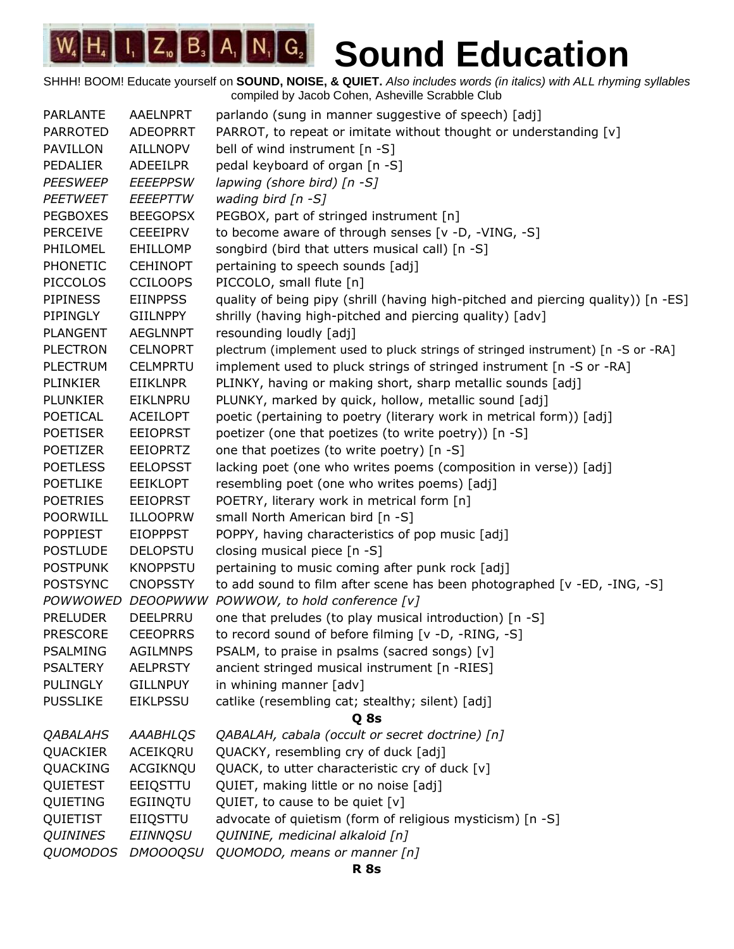| <b>PARLANTE</b> | <b>AAELNPRT</b> | parlando (sung in manner suggestive of speech) [adj]                              |
|-----------------|-----------------|-----------------------------------------------------------------------------------|
| <b>PARROTED</b> | <b>ADEOPRRT</b> | PARROT, to repeat or imitate without thought or understanding [v]                 |
| PAVILLON        | <b>AILLNOPV</b> | bell of wind instrument [n -S]                                                    |
| PEDALIER        | <b>ADEEILPR</b> | pedal keyboard of organ [n -S]                                                    |
| <b>PEESWEEP</b> | <b>EEEEPPSW</b> | lapwing (shore bird) $[n - S]$                                                    |
| <b>PEETWEET</b> | EEEEPTTW        | wading bird $[n - S]$                                                             |
| <b>PEGBOXES</b> | <b>BEEGOPSX</b> | PEGBOX, part of stringed instrument [n]                                           |
| <b>PERCEIVE</b> | <b>CEEEIPRV</b> | to become aware of through senses [v -D, -VING, -S]                               |
| PHILOMEL        | EHILLOMP        | songbird (bird that utters musical call) [n -S]                                   |
| PHONETIC        | <b>CEHINOPT</b> | pertaining to speech sounds [adj]                                                 |
| <b>PICCOLOS</b> | <b>CCILOOPS</b> | PICCOLO, small flute [n]                                                          |
| <b>PIPINESS</b> | <b>EIINPPSS</b> | quality of being pipy (shrill (having high-pitched and piercing quality)) [n -ES] |
| PIPINGLY        | <b>GIILNPPY</b> | shrilly (having high-pitched and piercing quality) [adv]                          |
| <b>PLANGENT</b> | <b>AEGLNNPT</b> | resounding loudly [adj]                                                           |
| <b>PLECTRON</b> | <b>CELNOPRT</b> | plectrum (implement used to pluck strings of stringed instrument) [n -S or -RA]   |
| <b>PLECTRUM</b> | <b>CELMPRTU</b> | implement used to pluck strings of stringed instrument [n -S or -RA]              |
| PLINKIER        | <b>EIIKLNPR</b> | PLINKY, having or making short, sharp metallic sounds [adj]                       |
| <b>PLUNKIER</b> | EIKLNPRU        | PLUNKY, marked by quick, hollow, metallic sound [adj]                             |
| POETICAL        | <b>ACEILOPT</b> | poetic (pertaining to poetry (literary work in metrical form)) [adj]              |
| <b>POETISER</b> | <b>EEIOPRST</b> | poetizer (one that poetizes (to write poetry)) [n -S]                             |
| <b>POETIZER</b> | <b>EEIOPRTZ</b> | one that poetizes (to write poetry) [n -S]                                        |
| <b>POETLESS</b> | <b>EELOPSST</b> | lacking poet (one who writes poems (composition in verse)) [adj]                  |
| <b>POETLIKE</b> | <b>EEIKLOPT</b> | resembling poet (one who writes poems) [adj]                                      |
| <b>POETRIES</b> | <b>EEIOPRST</b> | POETRY, literary work in metrical form [n]                                        |
| <b>POORWILL</b> | <b>ILLOOPRW</b> | small North American bird [n -S]                                                  |
| <b>POPPIEST</b> | <b>EIOPPPST</b> | POPPY, having characteristics of pop music [adj]                                  |
| <b>POSTLUDE</b> | <b>DELOPSTU</b> | closing musical piece [n -S]                                                      |
| <b>POSTPUNK</b> | <b>KNOPPSTU</b> | pertaining to music coming after punk rock [adj]                                  |
| <b>POSTSYNC</b> | <b>CNOPSSTY</b> | to add sound to film after scene has been photographed [v -ED, -ING, -S]          |
|                 |                 | POWWOWED DEOOPWWW POWWOW, to hold conference [v]                                  |
| <b>PRELUDER</b> | DEELPRRU        | one that preludes (to play musical introduction) [n -S]                           |
| <b>PRESCORE</b> | <b>CEEOPRRS</b> | to record sound of before filming [v -D, -RING, -S]                               |
| <b>PSALMING</b> | <b>AGILMNPS</b> | PSALM, to praise in psalms (sacred songs) [v]                                     |
| <b>PSALTERY</b> | <b>AELPRSTY</b> | ancient stringed musical instrument [n -RIES]                                     |
| <b>PULINGLY</b> | <b>GILLNPUY</b> | in whining manner [adv]                                                           |
| <b>PUSSLIKE</b> | <b>EIKLPSSU</b> | catlike (resembling cat; stealthy; silent) [adj]                                  |
|                 |                 | Q <sub>8s</sub>                                                                   |
| <b>QABALAHS</b> | <b>AAABHLQS</b> | QABALAH, cabala (occult or secret doctrine) [n]                                   |
| QUACKIER        | ACEIKQRU        | QUACKY, resembling cry of duck [adj]                                              |
| QUACKING        | ACGIKNQU        | QUACK, to utter characteristic cry of duck [v]                                    |
| QUIETEST        | EEIQSTTU        | QUIET, making little or no noise [adj]                                            |
| QUIETING        | EGIINQTU        | QUIET, to cause to be quiet $[v]$                                                 |
| QUIETIST        | EIIQSTTU        | advocate of quietism (form of religious mysticism) [n -S]                         |
| <b>QUININES</b> | <b>EIINNQSU</b> | QUININE, medicinal alkaloid [n]                                                   |
| <b>QUOMODOS</b> | <b>DMOOOQSU</b> | QUOMODO, means or manner [n]                                                      |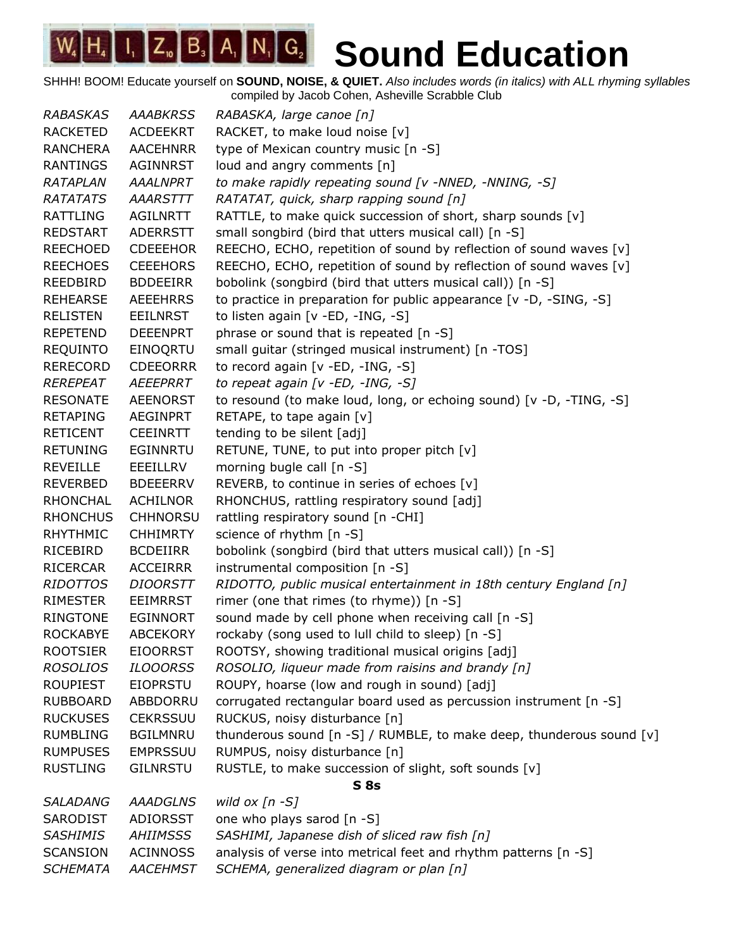SHHH! BOOM! Educate yourself on **SOUND, NOISE, & QUIET.** *Also includes words (in italics) with ALL rhyming syllables* compiled by Jacob Cohen, Asheville Scrabble Club

*RABASKAS AAABKRSS RABASKA, large canoe [n]* RACKETED ACDEEKRT RACKET, to make loud noise [v] RANCHERA AACEHNRR type of Mexican country music [n -S] RANTINGS AGINNRST loud and angry comments [n] *RATAPLAN AAALNPRT to make rapidly repeating sound [v -NNED, -NNING, -S] RATATATS AAARSTTT RATATAT, quick, sharp rapping sound [n]* RATTLING AGILNRTT RATTLE, to make quick succession of short, sharp sounds [v] REDSTART ADERRSTT small songbird (bird that utters musical call) [n -S] REECHOED CDEEEHOR REECHO, ECHO, repetition of sound by reflection of sound waves [v] REECHOES CEEEHORS REECHO, ECHO, repetition of sound by reflection of sound waves [v] REEDBIRD BDDEEIRR bobolink (songbird (bird that utters musical call)) [n -S] REHEARSE AEEEHRRS to practice in preparation for public appearance [v -D, -SING, -S] RELISTEN EEILNRST to listen again [v -ED, -ING, -S] REPETEND DEEENPRT phrase or sound that is repeated [n -S] REQUINTO EINOQRTU small guitar (stringed musical instrument) [n -TOS] RERECORD CDEEORRR to record again [v -ED, -ING, -S] *REREPEAT AEEEPRRT to repeat again [v -ED, -ING, -S]* RESONATE AEENORST to resound (to make loud, long, or echoing sound) [v -D, -TING, -S] RETAPING AEGINPRT RETAPE, to tape again [v] RETICENT CEEINRTT tending to be silent [adj] RETUNING EGINNRTU RETUNE, TUNE, to put into proper pitch [v] REVEILLE EEEILLRV morning bugle call [n -S] REVERBED BDEEERRV REVERB, to continue in series of echoes [v] RHONCHAL ACHILNOR RHONCHUS, rattling respiratory sound [adj] RHONCHUS CHHNORSU rattling respiratory sound [n -CHI] RHYTHMIC CHHIMRTY science of rhythm [n -S] RICEBIRD BCDEIIRR bobolink (songbird (bird that utters musical call)) [n -S] RICERCAR ACCEIRRR instrumental composition [n -S] *RIDOTTOS DIOORSTT RIDOTTO, public musical entertainment in 18th century England [n]* RIMESTER EEIMRRST rimer (one that rimes (to rhyme)) [n -S] RINGTONE EGINNORT sound made by cell phone when receiving call [n -S] ROCKABYE ABCEKORY rockaby (song used to lull child to sleep) [n -S] ROOTSIER EIOORRST ROOTSY, showing traditional musical origins [adj] *ROSOLIOS ILOOORSS ROSOLIO, liqueur made from raisins and brandy [n]* ROUPIEST EIOPRSTU ROUPY, hoarse (low and rough in sound) [adj] RUBBOARD ABBDORRU corrugated rectangular board used as percussion instrument [n -S] RUCKUSES CEKRSSUU RUCKUS, noisy disturbance [n] RUMBLING BGILMNRU thunderous sound [n -S] / RUMBLE, to make deep, thunderous sound [v] RUMPUSES EMPRSSUU RUMPUS, noisy disturbance [n] RUSTLING GILNRSTU RUSTLE, to make succession of slight, soft sounds [v] **S 8s** *SALADANG AAADGLNS wild ox [n -S]* SARODIST ADIORSST one who plays sarod [n -S] *SASHIMIS AHIIMSSS SASHIMI, Japanese dish of sliced raw fish [n]* SCANSION ACINNOSS analysis of verse into metrical feet and rhythm patterns [n -S] *SCHEMATA AACEHMST SCHEMA, generalized diagram or plan [n]*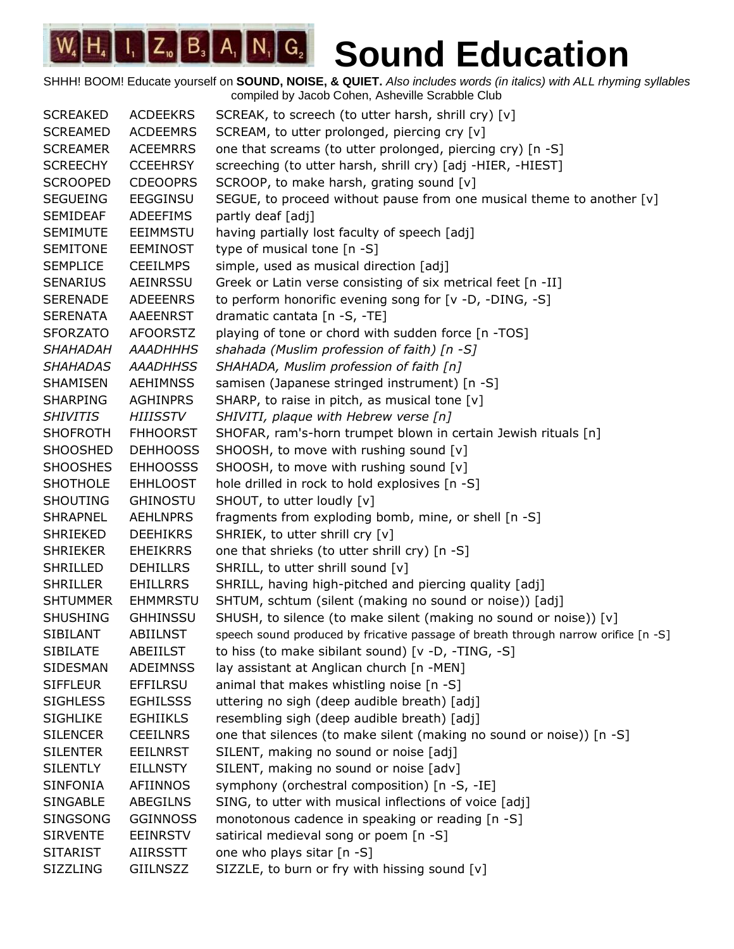SHHH! BOOM! Educate yourself on **SOUND, NOISE, & QUIET.** *Also includes words (in italics) with ALL rhyming syllables* compiled by Jacob Cohen, Asheville Scrabble Club

SCREAKED ACDEEKRS SCREAK, to screech (to utter harsh, shrill cry) [v] SCREAMED ACDEEMRS SCREAM, to utter prolonged, piercing cry [v] SCREAMER ACEEMRRS one that screams (to utter prolonged, piercing cry) [n -S] SCREECHY CCEEHRSY screeching (to utter harsh, shrill cry) [adj -HIER, -HIEST] SCROOPED CDEOOPRS SCROOP, to make harsh, grating sound [v] SEGUEING EEGGINSU SEGUE, to proceed without pause from one musical theme to another [v] SEMIDEAF ADEEFIMS partly deaf [adj] SEMIMUTE EEIMMSTU having partially lost faculty of speech [adj] SEMITONE EEMINOST type of musical tone [n -S] SEMPLICE CEEILMPS simple, used as musical direction [adj] SENARIUS AEINRSSU Greek or Latin verse consisting of six metrical feet [n -II] SERENADE ADEEENRS to perform honorific evening song for [v -D, -DING, -S] SERENATA AAEENRST dramatic cantata [n -S, -TE] SFORZATO AFOORSTZ playing of tone or chord with sudden force [n -TOS] *SHAHADAH AAADHHHS shahada (Muslim profession of faith) [n -S] SHAHADAS AAADHHSS SHAHADA, Muslim profession of faith [n]* SHAMISEN AEHIMNSS samisen (Japanese stringed instrument) [n -S] SHARPING AGHINPRS SHARP, to raise in pitch, as musical tone [v] *SHIVITIS HIIISSTV SHIVITI, plaque with Hebrew verse [n]* SHOFROTH FHHOORST SHOFAR, ram's-horn trumpet blown in certain Jewish rituals [n] SHOOSHED DEHHOOSS SHOOSH, to move with rushing sound [v] SHOOSHES EHHOOSSS SHOOSH, to move with rushing sound [v] SHOTHOLE EHHLOOST hole drilled in rock to hold explosives [n -S] SHOUTING GHINOSTU SHOUT, to utter loudly [v] SHRAPNEL AEHLNPRS fragments from exploding bomb, mine, or shell [n -S] SHRIEKED DEEHIKRS SHRIEK, to utter shrill cry [v] SHRIEKER EHEIKRRS one that shrieks (to utter shrill cry) [n -S] SHRILLED DEHILLRS SHRILL, to utter shrill sound [v] SHRILLER EHILLRRS SHRILL, having high-pitched and piercing quality [adj] SHTUMMER EHMMRSTU SHTUM, schtum (silent (making no sound or noise)) [adj] SHUSHING GHHINSSU SHUSH, to silence (to make silent (making no sound or noise)) [v] SIBILANT ABIILNST speech sound produced by fricative passage of breath through narrow orifice [n -S] SIBILATE ABEIILST to hiss (to make sibilant sound) [v -D, -TING, -S] SIDESMAN ADEIMNSS lay assistant at Anglican church [n -MEN] SIFFLEUR EFFILRSU animal that makes whistling noise [n -S] SIGHLESS EGHILSSS uttering no sigh (deep audible breath) [adj] SIGHLIKE EGHIIKLS resembling sigh (deep audible breath) [adj] SILENCER CEEILNRS one that silences (to make silent (making no sound or noise)) [n -S] SILENTER EEILNRST SILENT, making no sound or noise [adj] SILENTLY EILLNSTY SILENT, making no sound or noise [adv] SINFONIA AFIINNOS symphony (orchestral composition) [n -S, -IE] SINGABLE ABEGILNS SING, to utter with musical inflections of voice [adj] SINGSONG GGINNOSS monotonous cadence in speaking or reading [n -S] SIRVENTE EEINRSTV satirical medieval song or poem [n -S] SITARIST AIIRSSTT one who plays sitar [n -S] SIZZLING GIILNSZZ SIZZLE, to burn or fry with hissing sound [v]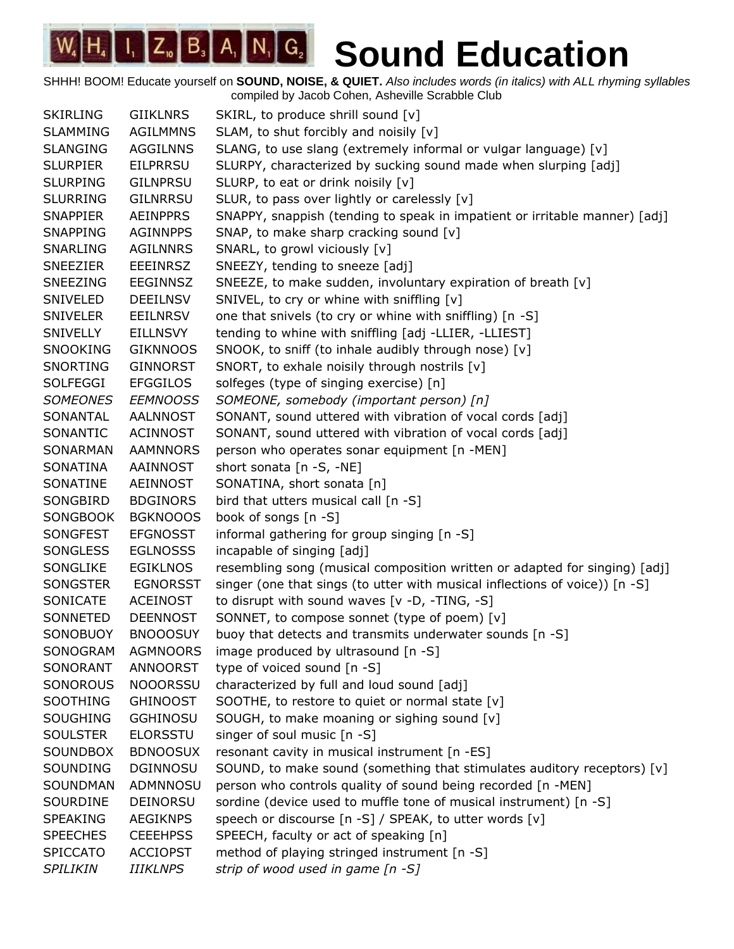SHHH! BOOM! Educate yourself on **SOUND, NOISE, & QUIET.** *Also includes words (in italics) with ALL rhyming syllables* compiled by Jacob Cohen, Asheville Scrabble Club

SKIRLING GIIKLNRS SKIRL, to produce shrill sound [v] SLAMMING AGILMMNS SLAM, to shut forcibly and noisily [v] SLANGING AGGILNNS SLANG, to use slang (extremely informal or vulgar language) [v] SLURPIER EILPRRSU SLURPY, characterized by sucking sound made when slurping [adj] SLURPING GILNPRSU SLURP, to eat or drink noisily [v] SLURRING GILNRRSU SLUR, to pass over lightly or carelessly [v] SNAPPIER AEINPPRS SNAPPY, snappish (tending to speak in impatient or irritable manner) [adj] SNAPPING AGINNPPS SNAP, to make sharp cracking sound [v] SNARLING AGILNNRS SNARL, to growl viciously [v] SNEEZIER EEEINRSZ SNEEZY, tending to sneeze [adj] SNEEZING EEGINNSZ SNEEZE, to make sudden, involuntary expiration of breath [v] SNIVELED DEEILNSV SNIVEL, to cry or whine with sniffling [v] SNIVELER EEILNRSV one that snivels (to cry or whine with sniffling) [n -S] SNIVELLY EILLNSVY tending to whine with sniffling [adj -LLIER, -LLIEST] SNOOKING GIKNNOOS SNOOK, to sniff (to inhale audibly through nose) [v] SNORTING GINNORST SNORT, to exhale noisily through nostrils [v] SOLFEGGI EFGGILOS solfeges (type of singing exercise) [n] *SOMEONES EEMNOOSS SOMEONE, somebody (important person) [n]* SONANTAL AALNNOST SONANT, sound uttered with vibration of vocal cords [adj] SONANTIC ACINNOST SONANT, sound uttered with vibration of vocal cords [adj] SONARMAN AAMNNORS person who operates sonar equipment [n -MEN] SONATINA AAINNOST short sonata [n -S, -NE] SONATINE AEINNOST SONATINA, short sonata [n] SONGBIRD BDGINORS bird that utters musical call [n -S] SONGBOOK BGKNOOOS book of songs [n -S] SONGFEST EFGNOSST informal gathering for group singing [n -S] SONGLESS EGLNOSSS incapable of singing [adj] SONGLIKE EGIKLNOS resembling song (musical composition written or adapted for singing) [adj] SONGSTER EGNORSST singer (one that sings (to utter with musical inflections of voice)) [n -S] SONICATE ACEINOST to disrupt with sound waves [v -D, -TING, -S] SONNETED DEENNOST SONNET, to compose sonnet (type of poem) [v] SONOBUOY BNOOOSUY buoy that detects and transmits underwater sounds [n -S] SONOGRAM AGMNOORS image produced by ultrasound [n -S] SONORANT ANNOORST type of voiced sound [n -S] SONOROUS NOOORSSU characterized by full and loud sound [adj] SOOTHING GHINOOST SOOTHE, to restore to quiet or normal state [v] SOUGHING GGHINOSU SOUGH, to make moaning or sighing sound [v] SOULSTER ELORSSTU singer of soul music [n -S] SOUNDBOX BDNOOSUX resonant cavity in musical instrument [n -ES] SOUNDING DGINNOSU SOUND, to make sound (something that stimulates auditory receptors) [v] SOUNDMAN ADMNNOSU person who controls quality of sound being recorded [n -MEN] SOURDINE DEINORSU sordine (device used to muffle tone of musical instrument) [n -S] SPEAKING AEGIKNPS speech or discourse [n -S] / SPEAK, to utter words [v] SPEECHES CEEEHPSS SPEECH, faculty or act of speaking [n] SPICCATO ACCIOPST method of playing stringed instrument [n -S] *SPILIKIN IIIKLNPS strip of wood used in game [n -S]*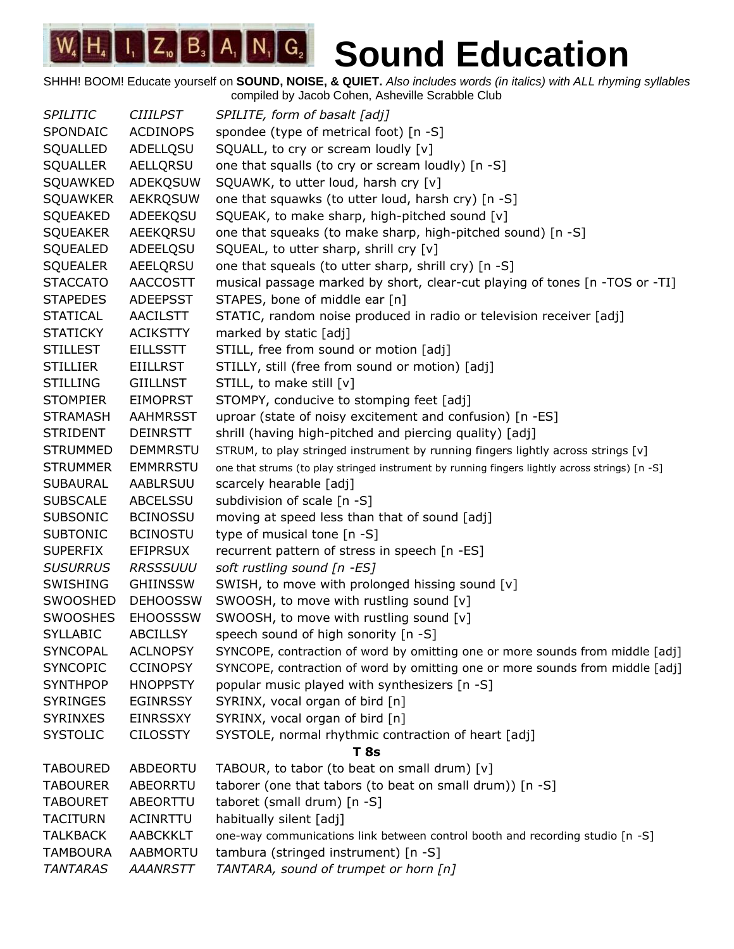| <b>SPILITIC</b> | <b>CIIILPST</b> | SPILITE, form of basalt [adj]                                                                  |
|-----------------|-----------------|------------------------------------------------------------------------------------------------|
| SPONDAIC        | <b>ACDINOPS</b> | spondee (type of metrical foot) [n -S]                                                         |
| SQUALLED        | ADELLQSU        | SQUALL, to cry or scream loudly [v]                                                            |
| <b>SQUALLER</b> | AELLQRSU        | one that squalls (to cry or scream loudly) [n -S]                                              |
| SQUAWKED        | ADEKQSUW        | SQUAWK, to utter loud, harsh cry [v]                                                           |
| <b>SQUAWKER</b> | <b>AEKRQSUW</b> | one that squawks (to utter loud, harsh cry) [n -S]                                             |
| SQUEAKED        | ADEEKQSU        | SQUEAK, to make sharp, high-pitched sound [v]                                                  |
| <b>SQUEAKER</b> | AEEKQRSU        | one that squeaks (to make sharp, high-pitched sound) [n -S]                                    |
| SQUEALED        | ADEELQSU        | SQUEAL, to utter sharp, shrill cry [v]                                                         |
| <b>SQUEALER</b> | AEELQRSU        | one that squeals (to utter sharp, shrill cry) [n -S]                                           |
| <b>STACCATO</b> | <b>AACCOSTT</b> | musical passage marked by short, clear-cut playing of tones [n -TOS or -TI]                    |
| <b>STAPEDES</b> | <b>ADEEPSST</b> | STAPES, bone of middle ear [n]                                                                 |
| <b>STATICAL</b> | <b>AACILSTT</b> | STATIC, random noise produced in radio or television receiver [adj]                            |
| <b>STATICKY</b> | <b>ACIKSTTY</b> | marked by static [adj]                                                                         |
| <b>STILLEST</b> | <b>EILLSSTT</b> | STILL, free from sound or motion [adj]                                                         |
| <b>STILLIER</b> | <b>EIILLRST</b> | STILLY, still (free from sound or motion) [adj]                                                |
| <b>STILLING</b> | <b>GIILLNST</b> | STILL, to make still [v]                                                                       |
| <b>STOMPIER</b> | <b>EIMOPRST</b> | STOMPY, conducive to stomping feet [adj]                                                       |
| <b>STRAMASH</b> | AAHMRSST        | uproar (state of noisy excitement and confusion) [n -ES]                                       |
| <b>STRIDENT</b> | DEINRSTT        | shrill (having high-pitched and piercing quality) [adj]                                        |
| <b>STRUMMED</b> | <b>DEMMRSTU</b> | STRUM, to play stringed instrument by running fingers lightly across strings [v]               |
| <b>STRUMMER</b> | <b>EMMRRSTU</b> | one that strums (to play stringed instrument by running fingers lightly across strings) [n -S] |
| <b>SUBAURAL</b> | AABLRSUU        | scarcely hearable [adj]                                                                        |
| <b>SUBSCALE</b> | <b>ABCELSSU</b> | subdivision of scale [n -S]                                                                    |
| <b>SUBSONIC</b> | <b>BCINOSSU</b> | moving at speed less than that of sound [adj]                                                  |
| <b>SUBTONIC</b> | <b>BCINOSTU</b> | type of musical tone [n -S]                                                                    |
| <b>SUPERFIX</b> | <b>EFIPRSUX</b> | recurrent pattern of stress in speech [n -ES]                                                  |
| <b>SUSURRUS</b> | <b>RRSSSUUU</b> | soft rustling sound [n -ES]                                                                    |
| <b>SWISHING</b> | <b>GHIINSSW</b> | SWISH, to move with prolonged hissing sound [v]                                                |
| SWOOSHED        | <b>DEHOOSSW</b> | SWOOSH, to move with rustling sound [v]                                                        |
| <b>SWOOSHES</b> | <b>EHOOSSSW</b> | SWOOSH, to move with rustling sound [v]                                                        |
| <b>SYLLABIC</b> | <b>ABCILLSY</b> | speech sound of high sonority [n -S]                                                           |
| <b>SYNCOPAL</b> | <b>ACLNOPSY</b> | SYNCOPE, contraction of word by omitting one or more sounds from middle [adj]                  |
| <b>SYNCOPIC</b> | <b>CCINOPSY</b> | SYNCOPE, contraction of word by omitting one or more sounds from middle [adj]                  |
| <b>SYNTHPOP</b> | <b>HNOPPSTY</b> | popular music played with synthesizers [n -S]                                                  |
| <b>SYRINGES</b> | <b>EGINRSSY</b> | SYRINX, vocal organ of bird [n]                                                                |
| <b>SYRINXES</b> | <b>EINRSSXY</b> | SYRINX, vocal organ of bird [n]                                                                |
| <b>SYSTOLIC</b> | <b>CILOSSTY</b> | SYSTOLE, normal rhythmic contraction of heart [adj]                                            |
|                 |                 | T 8s                                                                                           |
| <b>TABOURED</b> | ABDEORTU        | TABOUR, to tabor (to beat on small drum) [v]                                                   |
| <b>TABOURER</b> | ABEORRTU        | taborer (one that tabors (to beat on small drum)) [n -S]                                       |
| <b>TABOURET</b> | ABEORTTU        | taboret (small drum) [n -S]                                                                    |
| <b>TACITURN</b> | ACINRTTU        | habitually silent [adj]                                                                        |
| <b>TALKBACK</b> | <b>AABCKKLT</b> | one-way communications link between control booth and recording studio [n -S]                  |
| <b>TAMBOURA</b> | AABMORTU        | tambura (stringed instrument) [n -S]                                                           |
| <b>TANTARAS</b> | <b>AAANRSTT</b> | TANTARA, sound of trumpet or horn [n]                                                          |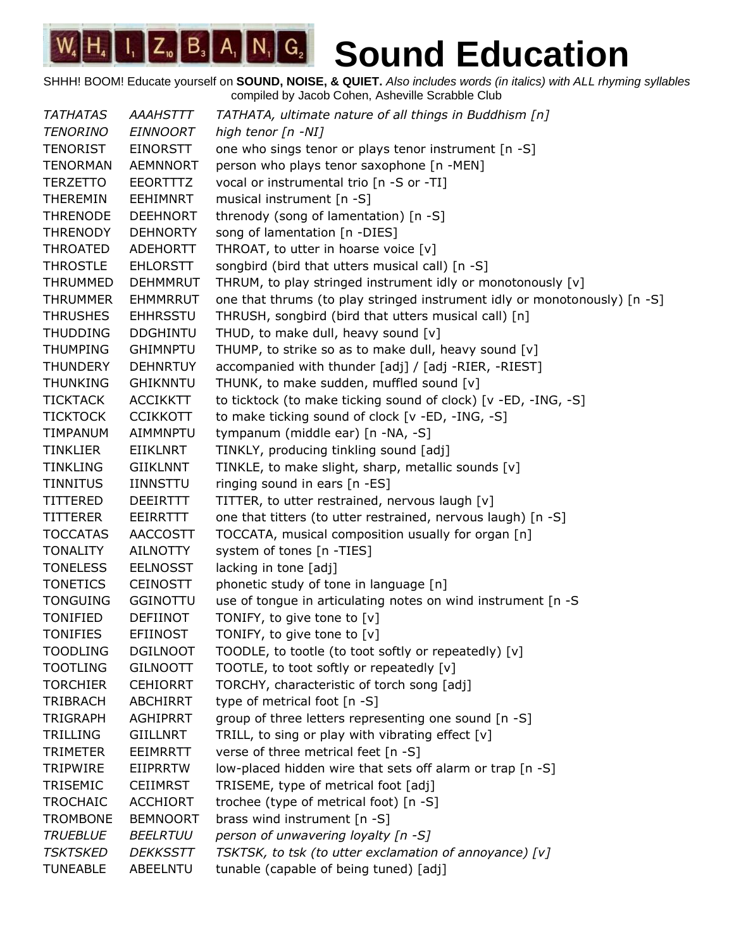SHHH! BOOM! Educate yourself on **SOUND, NOISE, & QUIET.** *Also includes words (in italics) with ALL rhyming syllables* compiled by Jacob Cohen, Asheville Scrabble Club

*TATHATAS AAAHSTTT TATHATA, ultimate nature of all things in Buddhism [n] TENORINO EINNOORT high tenor [n -NI]* TENORIST EINORSTT one who sings tenor or plays tenor instrument [n -S] TENORMAN AEMNNORT person who plays tenor saxophone [n -MEN] TERZETTO EEORTTTZ vocal or instrumental trio [n -S or -TI] THEREMIN EEHIMNRT musical instrument [n -S] THRENODE DEEHNORT threnody (song of lamentation) [n -S] THRENODY DEHNORTY song of lamentation [n -DIES] THROATED ADEHORTT THROAT, to utter in hoarse voice [v] THROSTLE EHLORSTT songbird (bird that utters musical call) [n -S] THRUMMED DEHMMRUT THRUM, to play stringed instrument idly or monotonously [v] THRUMMER EHMMRRUT one that thrums (to play stringed instrument idly or monotonously) [n -S] THRUSHES EHHRSSTU THRUSH, songbird (bird that utters musical call) [n] THUDDING DDGHINTU THUD, to make dull, heavy sound [v] THUMPING GHIMNPTU THUMP, to strike so as to make dull, heavy sound [v] THUNDERY DEHNRTUY accompanied with thunder [adj] / [adj -RIER, -RIEST] THUNKING GHIKNNTU THUNK, to make sudden, muffled sound [v] TICKTACK ACCIKKTT to ticktock (to make ticking sound of clock) [v -ED, -ING, -S] TICKTOCK CCIKKOTT to make ticking sound of clock [v -ED, -ING, -S] TIMPANUM AIMMNPTU tympanum (middle ear) [n -NA, -S] TINKLIER EIIKLNRT TINKLY, producing tinkling sound [adj] TINKLING GIIKLNNT TINKLE, to make slight, sharp, metallic sounds [v] TINNITUS IINNSTTU ringing sound in ears [n -ES] TITTERED DEEIRTTT TITTER, to utter restrained, nervous laugh [v] TITTERER EEIRRTTT one that titters (to utter restrained, nervous laugh) [n -S] TOCCATAS AACCOSTT TOCCATA, musical composition usually for organ [n] TONALITY AILNOTTY system of tones [n -TIES] TONELESS EELNOSST lacking in tone [adj] TONETICS CEINOSTT phonetic study of tone in language [n] TONGUING GGINOTTU use of tongue in articulating notes on wind instrument [n -S TONIFIED DEFIINOT TONIFY, to give tone to [v] TONIFIES EFIINOST TONIFY, to give tone to [v] TOODLING DGILNOOT TOODLE, to tootle (to toot softly or repeatedly) [v] TOOTLING GILNOOTT TOOTLE, to toot softly or repeatedly [v] TORCHIER CEHIORRT TORCHY, characteristic of torch song [adj] TRIBRACH ABCHIRRT type of metrical foot [n -S] TRIGRAPH AGHIPRRT group of three letters representing one sound [n -S] TRILLING GIILLNRT TRILL, to sing or play with vibrating effect  $[v]$ TRIMETER EEIMRRTT verse of three metrical feet [n -S] TRIPWIRE EIIPRRTW low-placed hidden wire that sets off alarm or trap [n -S] TRISEMIC CEIIMRST TRISEME, type of metrical foot [adj] TROCHAIC ACCHIORT trochee (type of metrical foot) [n -S] TROMBONE BEMNOORT brass wind instrument [n -S] *TRUEBLUE BEELRTUU person of unwavering loyalty [n -S] TSKTSKED DEKKSSTT TSKTSK, to tsk (to utter exclamation of annoyance) [v]* TUNEABLE ABEELNTU tunable (capable of being tuned) [adj]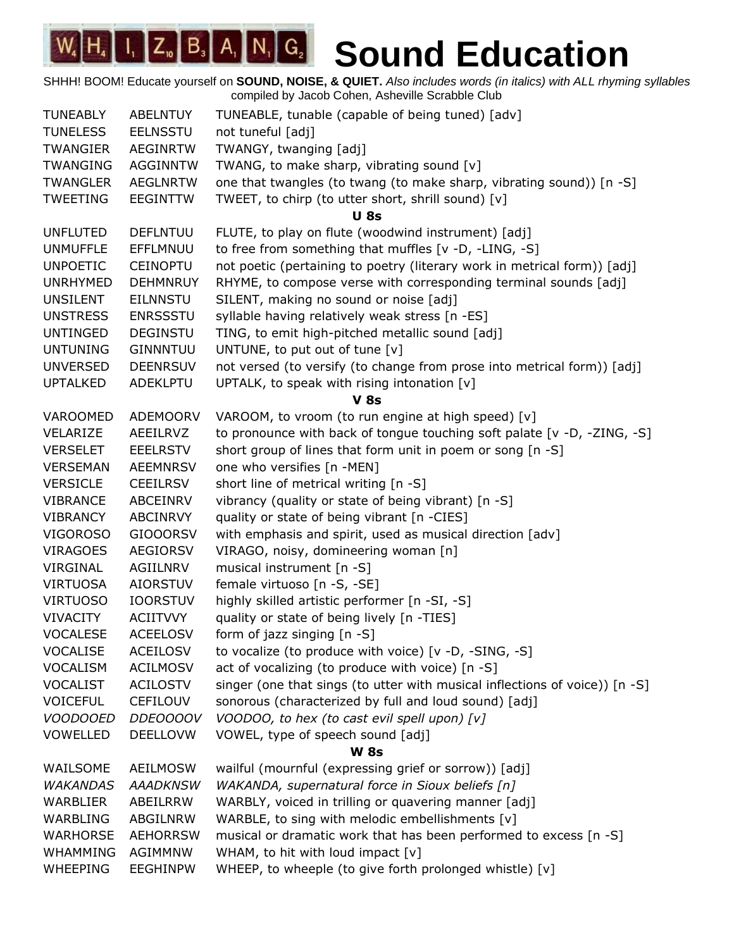| <b>TUNEABLY</b> | <b>ABELNTUY</b> | TUNEABLE, tunable (capable of being tuned) [adv]                            |
|-----------------|-----------------|-----------------------------------------------------------------------------|
| <b>TUNELESS</b> | <b>EELNSSTU</b> | not tuneful [adj]                                                           |
| <b>TWANGIER</b> | <b>AEGINRTW</b> | TWANGY, twanging [adj]                                                      |
| <b>TWANGING</b> | <b>AGGINNTW</b> | TWANG, to make sharp, vibrating sound [v]                                   |
| <b>TWANGLER</b> | <b>AEGLNRTW</b> | one that twangles (to twang (to make sharp, vibrating sound)) [n -S]        |
| <b>TWEETING</b> | <b>EEGINTTW</b> | TWEET, to chirp (to utter short, shrill sound) [v]                          |
|                 |                 | <b>U</b> 8s                                                                 |
| <b>UNFLUTED</b> | <b>DEFLNTUU</b> | FLUTE, to play on flute (woodwind instrument) [adj]                         |
| <b>UNMUFFLE</b> | EFFLMNUU        | to free from something that muffles [v -D, -LING, -S]                       |
| <b>UNPOETIC</b> | <b>CEINOPTU</b> | not poetic (pertaining to poetry (literary work in metrical form)) [adj]    |
| <b>UNRHYMED</b> | <b>DEHMNRUY</b> | RHYME, to compose verse with corresponding terminal sounds [adj]            |
| <b>UNSILENT</b> | EILNNSTU        | SILENT, making no sound or noise [adj]                                      |
| <b>UNSTRESS</b> | <b>ENRSSSTU</b> | syllable having relatively weak stress [n -ES]                              |
| <b>UNTINGED</b> | <b>DEGINSTU</b> | TING, to emit high-pitched metallic sound [adj]                             |
| <b>UNTUNING</b> | <b>GINNNTUU</b> | UNTUNE, to put out of tune [v]                                              |
| <b>UNVERSED</b> | <b>DEENRSUV</b> | not versed (to versify (to change from prose into metrical form)) [adj]     |
| <b>UPTALKED</b> | ADEKLPTU        | UPTALK, to speak with rising intonation [v]                                 |
|                 |                 | <b>V</b> 8s                                                                 |
| VAROOMED        | <b>ADEMOORV</b> | VAROOM, to vroom (to run engine at high speed) [v]                          |
| VELARIZE        | AEEILRVZ        | to pronounce with back of tongue touching soft palate [v -D, -ZING, -S]     |
| <b>VERSELET</b> | <b>EEELRSTV</b> | short group of lines that form unit in poem or song [n -S]                  |
| <b>VERSEMAN</b> | <b>AEEMNRSV</b> | one who versifies [n -MEN]                                                  |
| <b>VERSICLE</b> | <b>CEEILRSV</b> | short line of metrical writing [n -S]                                       |
| <b>VIBRANCE</b> | ABCEINRV        | vibrancy (quality or state of being vibrant) [n -S]                         |
| <b>VIBRANCY</b> | ABCINRVY        | quality or state of being vibrant [n -CIES]                                 |
| <b>VIGOROSO</b> | <b>GIOOORSV</b> | with emphasis and spirit, used as musical direction [adv]                   |
| <b>VIRAGOES</b> | <b>AEGIORSV</b> | VIRAGO, noisy, domineering woman [n]                                        |
| VIRGINAL        | AGIILNRV        | musical instrument [n -S]                                                   |
| <b>VIRTUOSA</b> | <b>AIORSTUV</b> | female virtuoso [n -S, -SE]                                                 |
| <b>VIRTUOSO</b> | <b>IOORSTUV</b> | highly skilled artistic performer [n -SI, -S]                               |
| <b>VIVACITY</b> | <b>ACIITVVY</b> | quality or state of being lively [n -TIES]                                  |
| <b>VOCALESE</b> | <b>ACEELOSV</b> | form of jazz singing [n -S]                                                 |
| <b>VOCALISE</b> | <b>ACEILOSV</b> | to vocalize (to produce with voice) [v -D, -SING, -S]                       |
| VOCALISM        | <b>ACILMOSV</b> | act of vocalizing (to produce with voice) [n -S]                            |
| <b>VOCALIST</b> | <b>ACILOSTV</b> | singer (one that sings (to utter with musical inflections of voice)) [n -S] |
| <b>VOICEFUL</b> | <b>CEFILOUV</b> | sonorous (characterized by full and loud sound) [adj]                       |
| <b>VOODOOED</b> | DDE0000V        | VOODOO, to hex (to cast evil spell upon) [v]                                |
| <b>VOWELLED</b> | <b>DEELLOVW</b> | VOWEL, type of speech sound [adj]                                           |
|                 |                 | <b>W</b> 8s                                                                 |
| WAILSOME        | <b>AEILMOSW</b> | wailful (mournful (expressing grief or sorrow)) [adj]                       |
| <b>WAKANDAS</b> | <b>AAADKNSW</b> | WAKANDA, supernatural force in Sioux beliefs [n]                            |
| WARBLIER        | ABEILRRW        | WARBLY, voiced in trilling or quavering manner [adj]                        |
| WARBLING        | ABGILNRW        | WARBLE, to sing with melodic embellishments [v]                             |
| <b>WARHORSE</b> | <b>AEHORRSW</b> | musical or dramatic work that has been performed to excess [n -S]           |
| WHAMMING        | <b>AGIMMNW</b>  | WHAM, to hit with loud impact [v]                                           |
|                 |                 |                                                                             |
| <b>WHEEPING</b> | <b>EEGHINPW</b> | WHEEP, to wheeple (to give forth prolonged whistle) [v]                     |